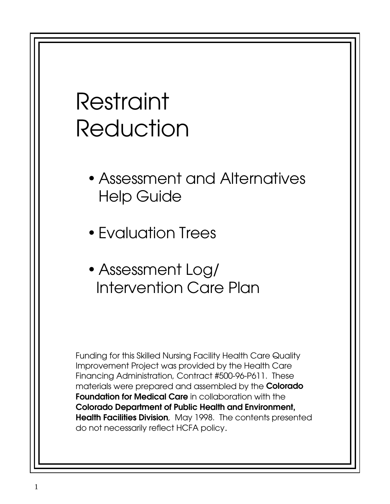# Restraint Reduction

- Assessment and Alternatives Help Guide
- Evaluation Trees
- Assessment Log/ Intervention Care Plan

Funding for this Skilled Nursing Facility Health Care Quality Improvement Project was provided by the Health Care Financing Administration, Contract #500-96-P611. These materials were prepared and assembled by the **Colorado Foundation for Medical Care** in collaboration with the **Colorado Department of Public Health and Environment, Health Facilities Division**, May 1998. The contents presented do not necessarily reflect HCFA policy.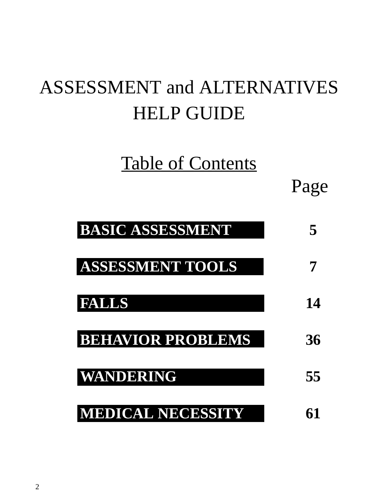## ASSESSMENT and ALTERNATIVES HELP GUIDE

## Table of Contents

Page

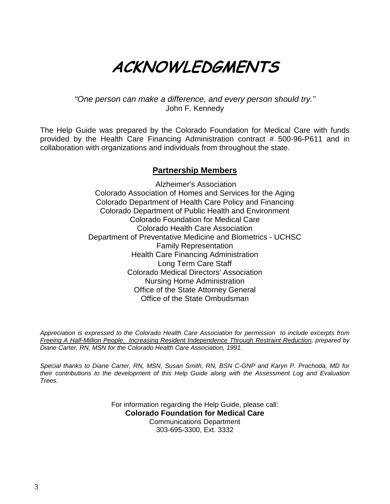## ACKNOWLEDGMENTS

"One person can make a difference, and every person should try." John F. Kennedy

The Help Guide was prepared by the Colorado Foundation for Medical Care with funds provided by the Health Care Financing Administration contract # 500-96-P611 and in collaboration with organizations and individuals from throughout the state.

## **Partnership Members**

 Alzheimer's Association Colorado Association of Homes and Services for the Aging Colorado Department of Health Care Policy and Financing Colorado Department of Public Health and Environment Colorado Foundation for Medical Care Colorado Health Care Association Department of Preventative Medicine and Biometrics - UCHSC Family Representation Health Care Financing Administration Long Term Care Staff Colorado Medical Directors' Association Nursing Home Administration Office of the State Attorney General Office of the State Ombudsman

Appreciation is expressed to the Colorado Health Care Association for permission to include excerpts from Freeing A Half-Million People: Increasing Resident Independence Through Restraint Reduction, prepared by Diane Carter, RN, MSN for the Colorado Health Care Association, 1991.

Special thanks to Diane Carter, RN, MSN, Susan Smith, RN, BSN C-GNP and Karyn P. Prochoda, MD for their contributions to the development of this Help Guide along with the Assessment Log and Evaluation Trees.

> For information regarding the Help Guide, please call: **Colorado Foundation for Medical Care** Communications Department 303-695-3300, Ext. 3332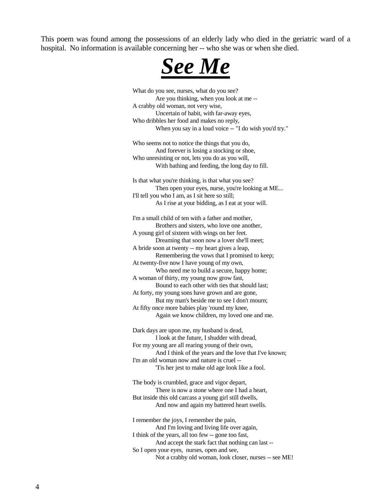This poem was found among the possessions of an elderly lady who died in the geriatric ward of a hospital. No information is available concerning her -- who she was or when she died.



What do you see, nurses, what do you see? Are you thinking, when you look at me -- A crabby old woman, not very wise, Uncertain of habit, with far-away eyes, Who dribbles her food and makes no reply, When you say in a loud voice -- "I do wish you'd try." Who seems not to notice the things that you do, And forever is losing a stocking or shoe, Who unresisting or not, lets you do as you will, With bathing and feeding, the long day to fill. Is that what you're thinking, is that what you see? Then open your eyes, nurse, you're looking at ME... I'll tell you who I am, as I sit here so still; As I rise at your bidding, as I eat at your will. I'm a small child of ten with a father and mother, Brothers and sisters, who love one another, A young girl of sixteen with wings on her feet. Dreaming that soon now a lover she'll meet; A bride soon at twenty -- my heart gives a leap, Remembering the vows that I promised to keep; At twenty-five now I have young of my own, Who need me to build a secure, happy home; A woman of thirty, my young now grow fast, Bound to each other with ties that should last; At forty, my young sons have grown and are gone, But my man's beside me to see I don't mourn; At fifty once more babies play 'round my knee, Again we know children, my loved one and me. Dark days are upon me, my husband is dead, I look at the future, I shudder with dread, For my young are all rearing young of their own, And I think of the years and the love that I've known; I'm an old woman now and nature is cruel -- 'Tis her jest to make old age look like a fool. The body is crumbled, grace and vigor depart, There is now a stone where one I had a heart, But inside this old carcass a young girl still dwells, And now and again my battered heart swells. I remember the joys, I remember the pain, And I'm loving and living life over again, I think of the years, all too few -- gone too fast, And accept the stark fact that nothing can last -- So I open your eyes, nurses, open and see, Not a crabby old woman, look closer, nurses -- see ME!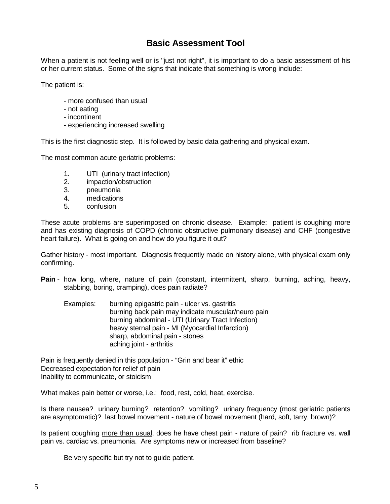## **Basic Assessment Tool**

When a patient is not feeling well or is "just not right", it is important to do a basic assessment of his or her current status. Some of the signs that indicate that something is wrong include:

The patient is:

- more confused than usual
- not eating
- incontinent
- experiencing increased swelling

This is the first diagnostic step. It is followed by basic data gathering and physical exam.

The most common acute geriatric problems:

- 1. UTI (urinary tract infection)
- 2. impaction/obstruction<br>3. pheumonia
- 3. pneumonia
- 4. medications
- 5. confusion

These acute problems are superimposed on chronic disease. Example: patient is coughing more and has existing diagnosis of COPD (chronic obstructive pulmonary disease) and CHF (congestive heart failure). What is going on and how do you figure it out?

Gather history - most important. Diagnosis frequently made on history alone, with physical exam only confirming.

- **Pain** how long, where, nature of pain (constant, intermittent, sharp, burning, aching, heavy, stabbing, boring, cramping), does pain radiate?
	- Examples: burning epigastric pain ulcer vs. gastritis burning back pain may indicate muscular/neuro pain burning abdominal - UTI (Urinary Tract Infection) heavy sternal pain - MI (Myocardial Infarction) sharp, abdominal pain - stones aching joint - arthritis

Pain is frequently denied in this population - "Grin and bear it" ethic Decreased expectation for relief of pain Inability to communicate, or stoicism

What makes pain better or worse, i.e.: food, rest, cold, heat, exercise.

Is there nausea? urinary burning? retention? vomiting? urinary frequency (most geriatric patients are asymptomatic)? last bowel movement - nature of bowel movement (hard, soft, tarry, brown)?

Is patient coughing more than usual, does he have chest pain - nature of pain? rib fracture vs. wall pain vs. cardiac vs. pneumonia. Are symptoms new or increased from baseline?

Be very specific but try not to guide patient.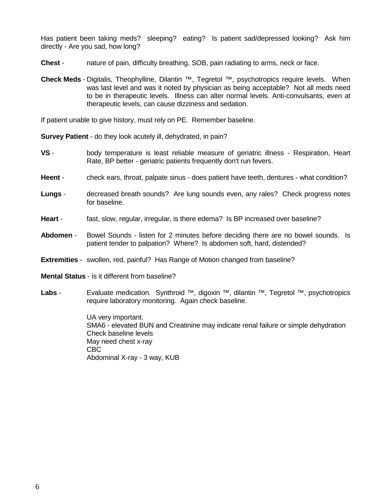Has patient been taking meds? sleeping? eating? Is patient sad/depressed looking? Ask him directly - Are you sad, how long?

- **Chest** nature of pain, difficulty breathing, SOB, pain radiating to arms, neck or face.
- **Check Meds** Digitalis, Theophylline, Dilantin ™, Tegretol ™, psychotropics require levels. When was last level and was it noted by physician as being acceptable? Not all meds need to be in therapeutic levels. Illness can alter normal levels. Anti-convulsants, even at therapeutic levels, can cause dizziness and sedation.

If patient unable to give history, must rely on PE. Remember baseline.

**Survey Patient** - do they look acutely ill, dehydrated, in pain?

- **VS** body temperature is least reliable measure of geriatric illness Respiration, Heart Rate, BP better - geriatric patients frequently don't run fevers.
- **Heent**  check ears, throat, palpate sinus does patient have teeth, dentures what condition?
- **Lungs** decreased breath sounds? Are lung sounds even, any rales? Check progress notes for baseline.
- **Heart** fast, slow, regular, irregular, is there edema? Is BP increased over baseline?
- **Abdomen** Bowel Sounds listen for 2 minutes before deciding there are no bowel sounds. Is patient tender to palpation? Where? Is abdomen soft, hard, distended?
- **Extremities** swollen, red, painful? Has Range of Motion changed from baseline?
- **Mental Status** is it different from baseline?
- Labs Evaluate medication. Synthroid <sup>™</sup>, digoxin ™, dilantin ™, Tegretol ™, psychotropics require laboratory monitoring. Again check baseline.

UA very important. SMA6 - elevated BUN and Creatinine may indicate renal failure or simple dehydration Check baseline levels May need chest x-ray CBC Abdominal X-ray - 3 way, KUB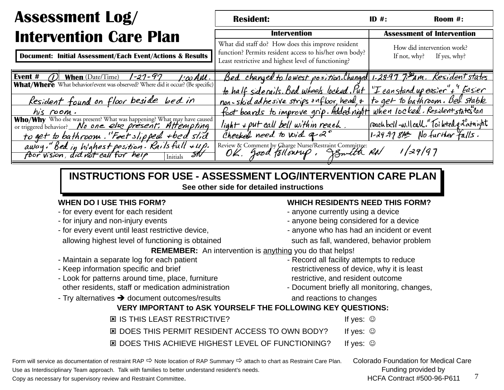## **Intervention Care Plan** Assessment Log/

|                                       | <b>Resident:</b>                                                                                                                                                   | ID $#$ :                                                | Room #: |
|---------------------------------------|--------------------------------------------------------------------------------------------------------------------------------------------------------------------|---------------------------------------------------------|---------|
|                                       | <b>Intervention</b>                                                                                                                                                | <b>Assessment of Intervention</b>                       |         |
| <b>&amp; Results</b>                  | What did staff do? How does this improve resident<br>function? Permits resident access to his/her own body?<br>Least restrictive and highest level of functioning? | How did intervention work?<br>If not, why? If yes, why? |         |
| $1'$ co AM $l$ .<br>ur? (Be specific) | Bed changed to lowest position. Changed 1-28-97 7. Pam. Resident states<br>to half siderails. Bed wheels locked. Put "I can stand up easier"+" Easier              |                                                         |         |

Document: Initial Assessment/Each Event/Actions & Res

| $\mathcal{D}$ When (Date/Time) $\sqrt{-27-97}$ /:00 AM.<br>Event #<br>What/Where What behavior/event was observed? Where did it occur? (Be specific) | Bed changed to lowest position. Changed 1-28-97 7: Pam. Resident state                 |                                                |
|------------------------------------------------------------------------------------------------------------------------------------------------------|----------------------------------------------------------------------------------------|------------------------------------------------|
|                                                                                                                                                      | to half siderails. Bed wheels locked. Put "I can stand up easier"+ " Easier            |                                                |
| Resident found on floor beside bed in                                                                                                                | non-skid adhesive strips on floor, head, + to get to bathroom. Bed stable              |                                                |
| his room.                                                                                                                                            | foot boards to improve grip. Added night when locked. Resident states can              |                                                |
| Who/Why Who else was present? What was happening? What may have caused<br>or triggered behavior? No one else present. Altempting                     | light + put call bell within reach.                                                    | reach bell-will call. "Toi leted q 2° at night |
| to get to bathroom. "Feet slipped +bed slid                                                                                                          | Checked need to void $a \, 2^{\circ}$                                                  | 1-29-97 8AM No further falls.                  |
| away." Bed in highest position. Rails full $\star u\rho$ .<br>$\overline{\mathcal{M}}$<br>foor vision, did not call for help                         | Review & Comment by Charge Nurse/Restraint Committee:<br>OK, Jood Tollow up, JEnlin RN | 1/29/97                                        |

## **INSTRUCTIONS FOR USE - ASSESSMENT LOG/INTERVENTION CARE PLANSee other side for detailed instructions**

- for every event for each resident anyone currently using a device
- 
- for every event until least restrictive device,  $\blacksquare$  anyone who has had an incident or event

allowing highest level of functioning is obtained such as fall, wandered, behavior problem

- 
- 
- Look for patterns around time, place, furniture restrictive, and resident outcome other residents, staff or medication administration - Document briefly all monitoring, changes,
- Try alternatives  $\rightarrow$  document outcomes/results and reactions to changes

## **WHEN DO I USE THIS FORM? WHICH RESIDENTS NEED THIS FORM?**

- 
- for injury and non-injury events anyone being considered for a device
	-
	-

**REMEMBER:** An intervention is anything you do that helps!

- Maintain a separate log for each patient Record all facility attempts to reduce - Keep information specific and brief restrictiveness of device, why it is least
	-

## **VERY IMPORTANT to ASK YOURSELF THE FOLLOWING KEY QUESTIONS:**

- IS THIS LEAST RESTRICTIVE? If yes: 図 DOES THIS PERMIT RESIDENT ACCESS TO OWN BODY? If yes: ☺ 図 DOES THIS ACHIEVE HIGHEST LEVEL OF FUNCTIONING? If yes: ☺

Form will service as documentation of restraint RAP  $\Rightarrow$  Note location of RAP Summary  $\Rightarrow$  attach to chart as Restraint Care Plan. Colorado Foundation for Medical Care Use as Interdisciplinary Team approach. Talk with families to better understand resident's needs. Funding provided by Funding provided by

Copy as necessary for supervisory review and Restraint Committee. The matrix of the state of the contract #500-96-P611 and  $\frac{7}{4}$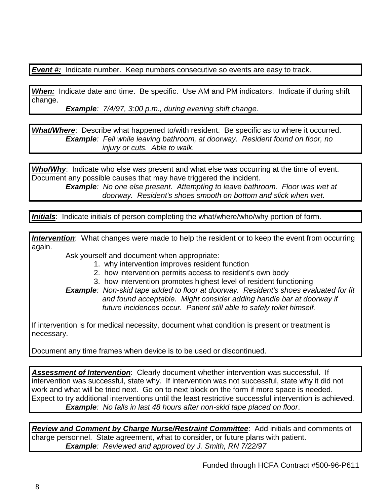**Event #:** Indicate number. Keep numbers consecutive so events are easy to track.

**When:** Indicate date and time. Be specific. Use AM and PM indicators. Indicate if during shift change.

**Example**: 7/4/97, 3:00 p.m., during evening shift change.

**What/Where**: Describe what happened to/with resident. Be specific as to where it occurred. **Example**: Fell while leaving bathroom, at doorway. Resident found on floor, no injury or cuts. Able to walk.

Who/Why: Indicate who else was present and what else was occurring at the time of event. Document any possible causes that may have triggered the incident.

**Example**: No one else present. Attempting to leave bathroom. Floor was wet at doorway. Resident's shoes smooth on bottom and slick when wet.

**Initials**: Indicate initials of person completing the what/where/who/why portion of form.

**Intervention**: What changes were made to help the resident or to keep the event from occurring again.

Ask yourself and document when appropriate:

- 1. why intervention improves resident function
- 2. how intervention permits access to resident's own body
- 3. how intervention promotes highest level of resident functioning

**Example**: Non-skid tape added to floor at doorway. Resident's shoes evaluated for fit and found acceptable. Might consider adding handle bar at doorway if future incidences occur. Patient still able to safely toilet himself.

If intervention is for medical necessity, document what condition is present or treatment is necessary.

Document any time frames when device is to be used or discontinued.

**Assessment of Intervention**: Clearly document whether intervention was successful. If intervention was successful, state why. If intervention was not successful, state why it did not work and what will be tried next. Go on to next block on the form if more space is needed. Expect to try additional interventions until the least restrictive successful intervention is achieved. **Example**: No falls in last 48 hours after non-skid tape placed on floor.

**Review and Comment by Charge Nurse/Restraint Committee**: Add initials and comments of charge personnel. State agreement, what to consider, or future plans with patient. **Example**: Reviewed and approved by J. Smith, RN 7/22/97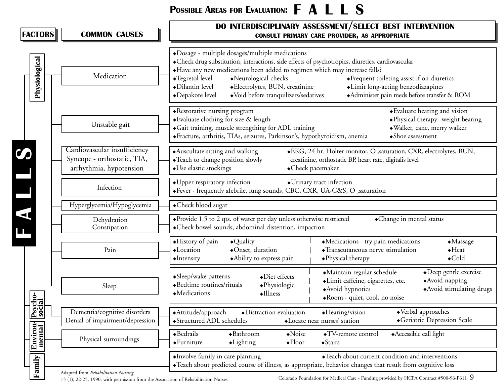## Possible Areas for Evaluation:  $\mathsf{F}\hspace{1.9pt} \mathsf{A} \mathsf{L}\ \mathsf{L}\ \mathsf{S}$

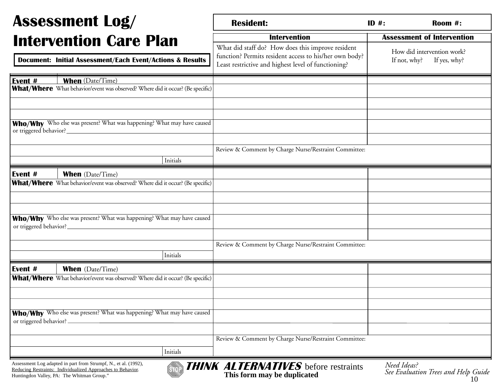#### Asses S ment Log  $\sqrt{}$ Inter

| <b>ASSESSMENT LOG/</b>                                                                                                         | <b>Resident:</b>                                                                                                                                                   | Room #:<br>$ID$ #:                                         |
|--------------------------------------------------------------------------------------------------------------------------------|--------------------------------------------------------------------------------------------------------------------------------------------------------------------|------------------------------------------------------------|
| <b>Intervention Care Plan</b>                                                                                                  | <b>Intervention</b>                                                                                                                                                | <b>Assessment of Intervention</b>                          |
| <b>Document: Initial Assessment/Each Event/Actions &amp; Results</b>                                                           | What did staff do? How does this improve resident<br>function? Permits resident access to his/her own body?<br>Least restrictive and highest level of functioning? | How did intervention work?<br>If not, why?<br>If yes, why? |
| <b>When</b> (Date/Time)<br>Event #                                                                                             |                                                                                                                                                                    |                                                            |
| What/Where What behavior/event was observed? Where did it occur? (Be specific)                                                 |                                                                                                                                                                    |                                                            |
|                                                                                                                                |                                                                                                                                                                    |                                                            |
| Who/Why Who else was present? What was happening? What may have caused                                                         |                                                                                                                                                                    |                                                            |
|                                                                                                                                | Review & Comment by Charge Nurse/Restraint Committee:                                                                                                              |                                                            |
| Initials                                                                                                                       |                                                                                                                                                                    |                                                            |
| Event #<br><b>When</b> (Date/Time)                                                                                             |                                                                                                                                                                    |                                                            |
| What/Where What behavior/event was observed? Where did it occur? (Be specific)                                                 |                                                                                                                                                                    |                                                            |
|                                                                                                                                |                                                                                                                                                                    |                                                            |
|                                                                                                                                |                                                                                                                                                                    |                                                            |
| Who/Why Who else was present? What was happening? What may have caused<br>or triggered behavior?_                              |                                                                                                                                                                    |                                                            |
|                                                                                                                                |                                                                                                                                                                    |                                                            |
| Initials                                                                                                                       | Review & Comment by Charge Nurse/Restraint Committee:                                                                                                              |                                                            |
| Event #<br><b>When</b> (Date/Time)                                                                                             |                                                                                                                                                                    |                                                            |
| What/Where What behavior/event was observed? Where did it occur? (Be specific)                                                 |                                                                                                                                                                    |                                                            |
|                                                                                                                                |                                                                                                                                                                    |                                                            |
|                                                                                                                                |                                                                                                                                                                    |                                                            |
| Who/Why Who else was present? What was happening? What may have caused<br>or triggered behavior?.                              |                                                                                                                                                                    |                                                            |
|                                                                                                                                |                                                                                                                                                                    |                                                            |
|                                                                                                                                | Review & Comment by Charge Nurse/Restraint Committee:                                                                                                              |                                                            |
| Initials                                                                                                                       |                                                                                                                                                                    |                                                            |
| Assessment Log adapted in part from Strumpf, N., et al. (1992),<br>Reducing Restraints: Individualized Approaches to Behavior. | <b>THINK ALTERNATIVES</b> before restraints                                                                                                                        | Need Ideas?<br>See Englasting Turns and Help Cride         |

Е



Huntingdon Valley, PA: The Whitman Group." **See Evaluation Trees and Help Guide**<br>Huntingdon Valley, PA: The Whitman Group." **See Evaluation Trees and Help Guide See Evaluation Trees and Help Guide**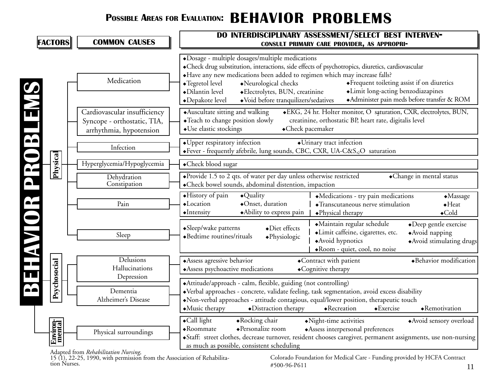## Possible Areas for Evaluation:  $\, {\bf BEHAVIOR} \,\, {\bf PROBLEMS}$



Adapted from *Rehabilitation Nursing,*<br>
15 (1), 22-25, 1990, with permission from the Association of Rehabilita-<br>
2500-96-P611<br>
2500-96-P611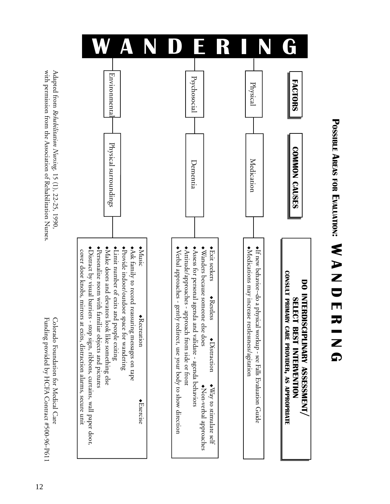N<br>N NDERING ℸ !\$\$' $\blacktriangleright$ **REAS** <u>ዝን</u> Evalruation  $\bullet$ 



with permission from the Association of Rehabilitation Nurses. with permission from the Association of Rehabilitation Nurses. Adapted from Rehabilitation Nursing, 15 (1), 22-25, 1990. Adapted from *Rehabilitation Nursing,*15 (1), 22-25, 1990,

Funding provided by HCFA Contract #500-96-P611 Colorado Foundation for Medical Care Funding provided by HCFA Contract #500-96-P611 Colorado Foundation for Medical Care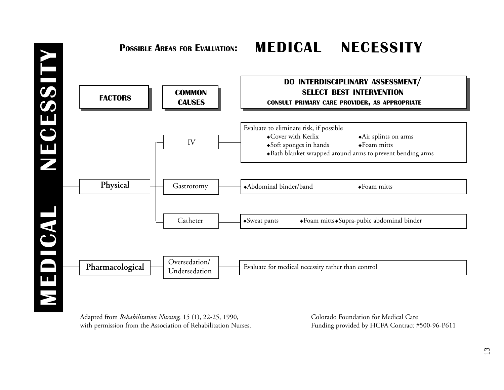

Adapted from *Rehabilitation Nursing,* 15 (1), 22-25, 1990, with permission from the Association of Rehabilitation Nurses. Colorado Foundation for Medical Care Funding provided by HCFA Contract #500-96-P611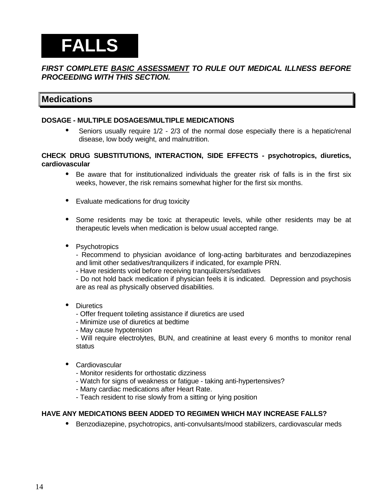## **FALLS**

#### **FIRST COMPLETE BASIC ASSESSMENT TO RULE OUT MEDICAL ILLNESS BEFORE PROCEEDING WITH THIS SECTION.**

## **Medications**

#### **DOSAGE - MULTIPLE DOSAGES/MULTIPLE MEDICATIONS**

• Seniors usually require 1/2 - 2/3 of the normal dose especially there is a hepatic/renal disease, low body weight, and malnutrition.

#### **CHECK DRUG SUBSTITUTIONS, INTERACTION, SIDE EFFECTS - psychotropics, diuretics, cardiovascular**

- Be aware that for institutionalized individuals the greater risk of falls is in the first six weeks, however, the risk remains somewhat higher for the first six months.
- Evaluate medications for drug toxicity
- Some residents may be toxic at therapeutic levels, while other residents may be at therapeutic levels when medication is below usual accepted range.
- Psychotropics

- Recommend to physician avoidance of long-acting barbiturates and benzodiazepines and limit other sedatives/tranquilizers if indicated, for example PRN.

- Have residents void before receiving tranquilizers/sedatives

- Do not hold back medication if physician feels it is indicated. Depression and psychosis are as real as physically observed disabilities.

#### • Diuretics

- Offer frequent toileting assistance if diuretics are used
- Minimize use of diuretics at bedtime
- May cause hypotension

- Will require electrolytes, BUN, and creatinine at least every 6 months to monitor renal status

- **Cardiovascular** 
	- Monitor residents for orthostatic dizziness
	- Watch for signs of weakness or fatigue taking anti-hypertensives?
	- Many cardiac medications after Heart Rate.
	- Teach resident to rise slowly from a sitting or lying position

#### **HAVE ANY MEDICATIONS BEEN ADDED TO REGIMEN WHICH MAY INCREASE FALLS?**

• Benzodiazepine, psychotropics, anti-convulsants/mood stabilizers, cardiovascular meds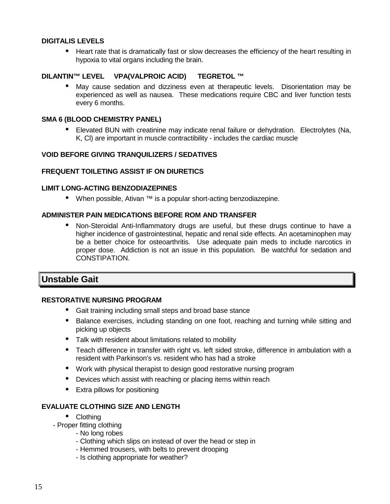#### **DIGITALIS LEVELS**

• Heart rate that is dramatically fast or slow decreases the efficiency of the heart resulting in hypoxia to vital organs including the brain.

#### **DILANTIN™ LEVEL VPA(VALPROIC ACID) TEGRETOL ™**

• May cause sedation and dizziness even at therapeutic levels. Disorientation may be experienced as well as nausea. These medications require CBC and liver function tests every 6 months.

#### **SMA 6 (BLOOD CHEMISTRY PANEL)**

• Elevated BUN with creatinine may indicate renal failure or dehydration. Electrolytes (Na, K, Cl) are important in muscle contractibility - includes the cardiac muscle

#### **VOID BEFORE GIVING TRANQUILIZERS / SEDATIVES**

#### **FREQUENT TOILETING ASSIST IF ON DIURETICS**

#### **LIMIT LONG-ACTING BENZODIAZEPINES**

• When possible, Ativan ™ is a popular short-acting benzodiazepine.

#### **ADMINISTER PAIN MEDICATIONS BEFORE ROM AND TRANSFER**

• Non-Steroidal Anti-Inflammatory drugs are useful, but these drugs continue to have a higher incidence of gastrointestinal, hepatic and renal side effects. An acetaminophen may be a better choice for osteoarthritis. Use adequate pain meds to include narcotics in proper dose. Addiction is not an issue in this population. Be watchful for sedation and CONSTIPATION.

#### **Unstable Gait**

#### **RESTORATIVE NURSING PROGRAM**

- Gait training including small steps and broad base stance
- Balance exercises, including standing on one foot, reaching and turning while sitting and picking up objects
- Talk with resident about limitations related to mobility
- Teach difference in transfer with right vs. left sided stroke, difference in ambulation with a resident with Parkinson's vs. resident who has had a stroke
- Work with physical therapist to design good restorative nursing program
- Devices which assist with reaching or placing items within reach
- Extra pillows for positioning

#### **EVALUATE CLOTHING SIZE AND LENGTH**

- Clothing
- Proper fitting clothing
	- No long robes
		- Clothing which slips on instead of over the head or step in
		- Hemmed trousers, with belts to prevent drooping
	- Is clothing appropriate for weather?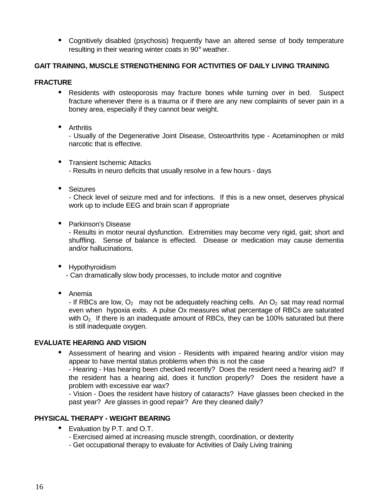• Cognitively disabled (psychosis) frequently have an altered sense of body temperature resulting in their wearing winter coats in 90° weather.

#### **GAIT TRAINING, MUSCLE STRENGTHENING FOR ACTIVITIES OF DAILY LIVING TRAINING**

#### **FRACTURE**

- Residents with osteoporosis may fracture bones while turning over in bed. Suspect fracture whenever there is a trauma or if there are any new complaints of sever pain in a boney area, especially if they cannot bear weight.
- Arthritis

- Usually of the Degenerative Joint Disease, Osteoarthritis type - Acetaminophen or mild narcotic that is effective.

- Transient Ischemic Attacks
	- Results in neuro deficits that usually resolve in a few hours days
- Seizures

- Check level of seizure med and for infections. If this is a new onset, deserves physical work up to include EEG and brain scan if appropriate

• Parkinson's Disease

- Results in motor neural dysfunction. Extremities may become very rigid, gait; short and shuffling. Sense of balance is effected. Disease or medication may cause dementia and/or hallucinations.

- Hypothyroidism - Can dramatically slow body processes, to include motor and cognitive
- Anemia

- If RBCs are low,  $O<sub>2</sub>$  may not be adequately reaching cells. An  $O<sub>2</sub>$  sat may read normal even when hypoxia exits. A pulse Ox measures what percentage of RBCs are saturated with  $O<sub>2</sub>$ . If there is an inadequate amount of RBCs, they can be 100% saturated but there is still inadequate oxygen.

#### **EVALUATE HEARING AND VISION**

• Assessment of hearing and vision - Residents with impaired hearing and/or vision may appear to have mental status problems when this is not the case

- Hearing - Has hearing been checked recently? Does the resident need a hearing aid? If the resident has a hearing aid, does it function properly? Does the resident have a problem with excessive ear wax?

- Vision - Does the resident have history of cataracts? Have glasses been checked in the past year? Are glasses in good repair? Are they cleaned daily?

#### **PHYSICAL THERAPY - WEIGHT BEARING**

- Evaluation by P.T. and O.T.
	- Exercised aimed at increasing muscle strength, coordination, or dexterity
	- Get occupational therapy to evaluate for Activities of Daily Living training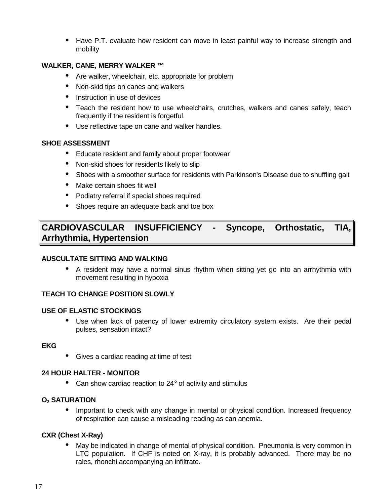• Have P.T. evaluate how resident can move in least painful way to increase strength and mobility

#### **WALKER, CANE, MERRY WALKER ™**

- Are walker, wheelchair, etc. appropriate for problem
- Non-skid tips on canes and walkers
- Instruction in use of devices
- Teach the resident how to use wheelchairs, crutches, walkers and canes safely, teach frequently if the resident is forgetful.
- Use reflective tape on cane and walker handles.

#### **SHOE ASSESSMENT**

- Educate resident and family about proper footwear
- Non-skid shoes for residents likely to slip
- Shoes with a smoother surface for residents with Parkinson's Disease due to shuffling gait
- Make certain shoes fit well
- Podiatry referral if special shoes required
- Shoes require an adequate back and toe box

## **CARDIOVASCULAR INSUFFICIENCY - Syncope, Orthostatic, TIA, Arrhythmia, Hypertension**

#### **AUSCULTATE SITTING AND WALKING**

• A resident may have a normal sinus rhythm when sitting yet go into an arrhythmia with movement resulting in hypoxia

#### **TEACH TO CHANGE POSITION SLOWLY**

#### **USE OF ELASTIC STOCKINGS**

• Use when lack of patency of lower extremity circulatory system exists. Are their pedal pulses, sensation intact?

#### **EKG**

• Gives a cardiac reading at time of test

#### **24 HOUR HALTER - MONITOR**

• Can show cardiac reaction to 24° of activity and stimulus

#### **O2 SATURATION**

• Important to check with any change in mental or physical condition. Increased frequency of respiration can cause a misleading reading as can anemia.

#### **CXR (Chest X-Ray)**

• May be indicated in change of mental of physical condition. Pneumonia is very common in LTC population. If CHF is noted on X-ray, it is probably advanced. There may be no rales, rhonchi accompanying an infiltrate.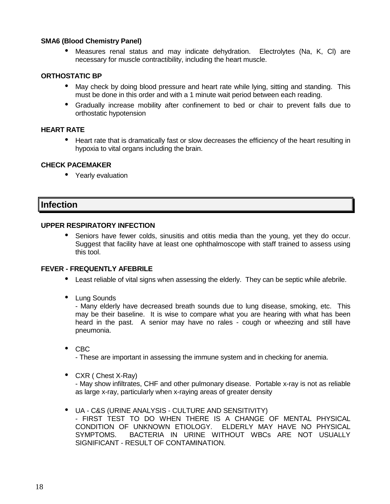#### **SMA6 (Blood Chemistry Panel)**

• Measures renal status and may indicate dehydration. Electrolytes (Na, K, Cl) are necessary for muscle contractibility, including the heart muscle.

#### **ORTHOSTATIC BP**

- May check by doing blood pressure and heart rate while lying, sitting and standing. This must be done in this order and with a 1 minute wait period between each reading.
- Gradually increase mobility after confinement to bed or chair to prevent falls due to orthostatic hypotension

#### **HEART RATE**

• Heart rate that is dramatically fast or slow decreases the efficiency of the heart resulting in hypoxia to vital organs including the brain.

#### **CHECK PACEMAKER**

• Yearly evaluation

#### **Infection**

#### **UPPER RESPIRATORY INFECTION**

• Seniors have fewer colds, sinusitis and otitis media than the young, yet they do occur. Suggest that facility have at least one ophthalmoscope with staff trained to assess using this tool.

#### **FEVER - FREQUENTLY AFEBRILE**

- Least reliable of vital signs when assessing the elderly. They can be septic while afebrile.
- Lung Sounds

- Many elderly have decreased breath sounds due to lung disease, smoking, etc. This may be their baseline. It is wise to compare what you are hearing with what has been heard in the past. A senior may have no rales - cough or wheezing and still have pneumonia.

• CBC

- These are important in assessing the immune system and in checking for anemia.

• CXR ( Chest X-Ray)

- May show infiltrates, CHF and other pulmonary disease. Portable x-ray is not as reliable as large x-ray, particularly when x-raying areas of greater density

• UA - C&S (URINE ANALYSIS - CULTURE AND SENSITIVITY) - FIRST TEST TO DO WHEN THERE IS A CHANGE OF MENTAL PHYSICAL CONDITION OF UNKNOWN ETIOLOGY. ELDERLY MAY HAVE NO PHYSICAL SYMPTOMS. BACTERIA IN URINE WITHOUT WBCs ARE NOT USUALLY SIGNIFICANT - RESULT OF CONTAMINATION.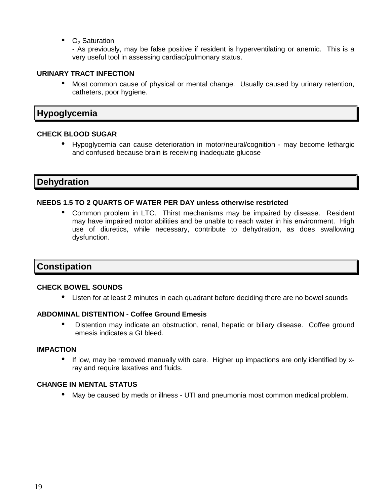$\bullet$  O<sub>2</sub> Saturation

- As previously, may be false positive if resident is hyperventilating or anemic. This is a very useful tool in assessing cardiac/pulmonary status.

#### **URINARY TRACT INFECTION**

• Most common cause of physical or mental change. Usually caused by urinary retention, catheters, poor hygiene.

## **Hypoglycemia**

#### **CHECK BLOOD SUGAR**

• Hypoglycemia can cause deterioration in motor/neural/cognition - may become lethargic and confused because brain is receiving inadequate glucose

## **Dehydration**

#### **NEEDS 1.5 TO 2 QUARTS OF WATER PER DAY unless otherwise restricted**

• Common problem in LTC. Thirst mechanisms may be impaired by disease. Resident may have impaired motor abilities and be unable to reach water in his environment. High use of diuretics, while necessary, contribute to dehydration, as does swallowing dysfunction.

## **Constipation**

#### **CHECK BOWEL SOUNDS**

• Listen for at least 2 minutes in each quadrant before deciding there are no bowel sounds

#### **ABDOMINAL DISTENTION - Coffee Ground Emesis**

• Distention may indicate an obstruction, renal, hepatic or biliary disease. Coffee ground emesis indicates a GI bleed.

#### **IMPACTION**

• If low, may be removed manually with care. Higher up impactions are only identified by xray and require laxatives and fluids.

#### **CHANGE IN MENTAL STATUS**

• May be caused by meds or illness - UTI and pneumonia most common medical problem.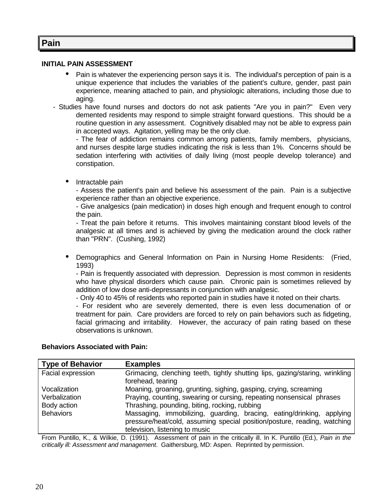## **Pain**

#### **INITIAL PAIN ASSESSMENT**

- Pain is whatever the experiencing person says it is. The individual's perception of pain is a unique experience that includes the variables of the patient's culture, gender, past pain experience, meaning attached to pain, and physiologic alterations, including those due to aging.
- Studies have found nurses and doctors do not ask patients "Are you in pain?" Even very demented residents may respond to simple straight forward questions. This should be a routine question in any assessment. Cognitively disabled may not be able to express pain in accepted ways. Agitation, yelling may be the only clue.

- The fear of addiction remains common among patients, family members, physicians, and nurses despite large studies indicating the risk is less than 1%. Concerns should be sedation interfering with activities of daily living (most people develop tolerance) and constipation.

• Intractable pain

- Assess the patient's pain and believe his assessment of the pain. Pain is a subjective experience rather than an objective experience.

- Give analgesics (pain medication) in doses high enough and frequent enough to control the pain.

- Treat the pain before it returns. This involves maintaining constant blood levels of the analgesic at all times and is achieved by giving the medication around the clock rather than "PRN". (Cushing, 1992)

• Demographics and General Information on Pain in Nursing Home Residents: (Fried, 1993)

- Pain is frequently associated with depression. Depression is most common in residents who have physical disorders which cause pain. Chronic pain is sometimes relieved by addition of low dose anti-depressants in conjunction with analgesic.

- Only 40 to 45% of residents who reported pain in studies have it noted on their charts.

- For resident who are severely demented, there is even less documenation of or treatment for pain. Care providers are forced to rely on pain behaviors such as fidgeting, facial grimacing and irritability. However, the accuracy of pain rating based on these observations is unknown.

#### **Behaviors Associated with Pain:**

| <b>Type of Behavior</b> | <b>Examples</b>                                                                                                                                                                     |
|-------------------------|-------------------------------------------------------------------------------------------------------------------------------------------------------------------------------------|
| Facial expression       | Grimacing, clenching teeth, tightly shutting lips, gazing/staring, wrinkling<br>forehead, tearing                                                                                   |
| Vocalization            | Moaning, groaning, grunting, sighing, gasping, crying, screaming                                                                                                                    |
| Verbalization           | Praying, counting, swearing or cursing, repeating nonsensical phrases                                                                                                               |
| Body action             | Thrashing, pounding, biting, rocking, rubbing                                                                                                                                       |
| <b>Behaviors</b>        | Massaging, immobilizing, guarding, bracing, eating/drinking, applying<br>pressure/heat/cold, assuming special position/posture, reading, watching<br>television, listening to music |

From Puntillo, K., & Wilkie, D. (1991). Assessment of pain in the critically ill. In K. Puntillo (Ed.), Pain in the critically ill: Assessment and management. Gaithersburg, MD: Aspen. Reprinted by permission.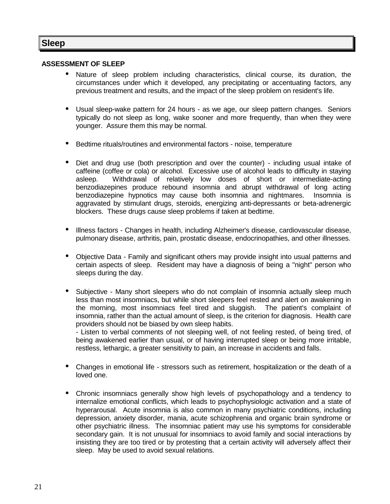## **Sleep**

#### **ASSESSMENT OF SLEEP**

- Nature of sleep problem including characteristics, clinical course, its duration, the circumstances under which it developed, any precipitating or accentuating factors, any previous treatment and results, and the impact of the sleep problem on resident's life.
- Usual sleep-wake pattern for 24 hours as we age, our sleep pattern changes. Seniors typically do not sleep as long, wake sooner and more frequently, than when they were younger. Assure them this may be normal.
- Bedtime rituals/routines and environmental factors noise, temperature
- Diet and drug use (both prescription and over the counter) including usual intake of caffeine (coffee or cola) or alcohol. Excessive use of alcohol leads to difficulty in staying<br>asleep. Withdrawal of relatively low doses of short or intermediate-acting Withdrawal of relatively low doses of short or intermediate-acting benzodiazepines produce rebound insomnia and abrupt withdrawal of long acting benzodiazepine hypnotics may cause both insomnia and nightmares. Insomnia is aggravated by stimulant drugs, steroids, energizing anti-depressants or beta-adrenergic blockers. These drugs cause sleep problems if taken at bedtime.
- Illness factors Changes in health, including Alzheimer's disease, cardiovascular disease, pulmonary disease, arthritis, pain, prostatic disease, endocrinopathies, and other illnesses.
- Objective Data Family and significant others may provide insight into usual patterns and certain aspects of sleep. Resident may have a diagnosis of being a "night" person who sleeps during the day.
- Subjective Many short sleepers who do not complain of insomnia actually sleep much less than most insomniacs, but while short sleepers feel rested and alert on awakening in the morning, most insomniacs feel tired and sluggish. The patient's complaint of insomnia, rather than the actual amount of sleep, is the criterion for diagnosis. Health care providers should not be biased by own sleep habits.

- Listen to verbal comments of not sleeping well, of not feeling rested, of being tired, of being awakened earlier than usual, or of having interrupted sleep or being more irritable, restless, lethargic, a greater sensitivity to pain, an increase in accidents and falls.

- Changes in emotional life stressors such as retirement, hospitalization or the death of a loved one.
- Chronic insomniacs generally show high levels of psychopathology and a tendency to internalize emotional conflicts, which leads to psychophysiologic activation and a state of hyperarousal. Acute insomnia is also common in many psychiatric conditions, including depression, anxiety disorder, mania, acute schizophrenia and organic brain syndrome or other psychiatric illness. The insomniac patient may use his symptoms for considerable secondary gain. It is not unusual for insomniacs to avoid family and social interactions by insisting they are too tired or by protesting that a certain activity will adversely affect their sleep. May be used to avoid sexual relations.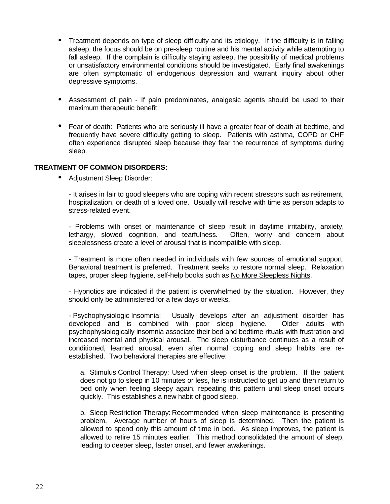- Treatment depends on type of sleep difficulty and its etiology. If the difficulty is in falling asleep, the focus should be on pre-sleep routine and his mental activity while attempting to fall asleep. If the complain is difficulty staying asleep, the possibility of medical problems or unsatisfactory environmental conditions should be investigated. Early final awakenings are often symptomatic of endogenous depression and warrant inquiry about other depressive symptoms.
- Assessment of pain If pain predominates, analgesic agents should be used to their maximum therapeutic benefit.
- Fear of death: Patients who are seriously ill have a greater fear of death at bedtime, and frequently have severe difficulty getting to sleep. Patients with asthma, COPD or CHF often experience disrupted sleep because they fear the recurrence of symptoms during sleep.

#### **TREATMENT OF COMMON DISORDERS:**

• Adjustment Sleep Disorder:

- It arises in fair to good sleepers who are coping with recent stressors such as retirement, hospitalization, or death of a loved one. Usually will resolve with time as person adapts to stress-related event.

- Problems with onset or maintenance of sleep result in daytime irritability, anxiety, lethargy, slowed cognition, and tearfulness. Often, worry and concern about sleeplessness create a level of arousal that is incompatible with sleep.

- Treatment is more often needed in individuals with few sources of emotional support. Behavioral treatment is preferred. Treatment seeks to restore normal sleep. Relaxation tapes, proper sleep hygiene, self-help books such as No More Sleepless Nights.

- Hypnotics are indicated if the patient is overwhelmed by the situation. However, they should only be administered for a few days or weeks.

- Psychophysiologic Insomnia: Usually develops after an adjustment disorder has developed and is combined with poor sleep hygiene. Older adults with psychophysiologically insomnia associate their bed and bedtime rituals with frustration and increased mental and physical arousal. The sleep disturbance continues as a result of conditioned, learned arousal, even after normal coping and sleep habits are reestablished. Two behavioral therapies are effective:

a. Stimulus Control Therapy: Used when sleep onset is the problem. If the patient does not go to sleep in 10 minutes or less, he is instructed to get up and then return to bed only when feeling sleepy again, repeating this pattern until sleep onset occurs quickly. This establishes a new habit of good sleep.

b. Sleep Restriction Therapy: Recommended when sleep maintenance is presenting problem. Average number of hours of sleep is determined. Then the patient is allowed to spend only this amount of time in bed. As sleep improves, the patient is allowed to retire 15 minutes earlier. This method consolidated the amount of sleep, leading to deeper sleep, faster onset, and fewer awakenings.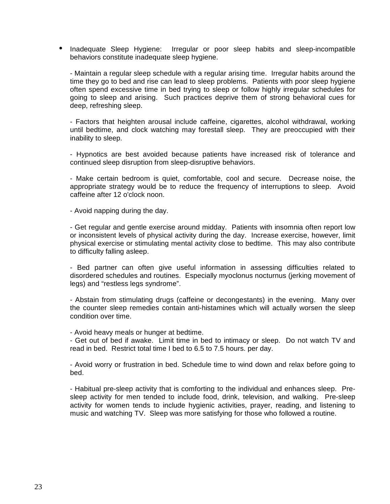• Inadequate Sleep Hygiene: Irregular or poor sleep habits and sleep-incompatible behaviors constitute inadequate sleep hygiene.

- Maintain a regular sleep schedule with a regular arising time. Irregular habits around the time they go to bed and rise can lead to sleep problems. Patients with poor sleep hygiene often spend excessive time in bed trying to sleep or follow highly irregular schedules for going to sleep and arising. Such practices deprive them of strong behavioral cues for deep, refreshing sleep.

- Factors that heighten arousal include caffeine, cigarettes, alcohol withdrawal, working until bedtime, and clock watching may forestall sleep. They are preoccupied with their inability to sleep.

- Hypnotics are best avoided because patients have increased risk of tolerance and continued sleep disruption from sleep-disruptive behaviors.

- Make certain bedroom is quiet, comfortable, cool and secure. Decrease noise, the appropriate strategy would be to reduce the frequency of interruptions to sleep. Avoid caffeine after 12 o'clock noon.

- Avoid napping during the day.

- Get regular and gentle exercise around midday. Patients with insomnia often report low or inconsistent levels of physical activity during the day. Increase exercise, however, limit physical exercise or stimulating mental activity close to bedtime. This may also contribute to difficulty falling asleep.

- Bed partner can often give useful information in assessing difficulties related to disordered schedules and routines. Especially myoclonus nocturnus (jerking movement of legs) and "restless legs syndrome".

- Abstain from stimulating drugs (caffeine or decongestants) in the evening. Many over the counter sleep remedies contain anti-histamines which will actually worsen the sleep condition over time.

- Avoid heavy meals or hunger at bedtime.

- Get out of bed if awake. Limit time in bed to intimacy or sleep. Do not watch TV and read in bed. Restrict total time I bed to 6.5 to 7.5 hours. per day.

- Avoid worry or frustration in bed. Schedule time to wind down and relax before going to bed.

- Habitual pre-sleep activity that is comforting to the individual and enhances sleep. Presleep activity for men tended to include food, drink, television, and walking. Pre-sleep activity for women tends to include hygienic activities, prayer, reading, and listening to music and watching TV. Sleep was more satisfying for those who followed a routine.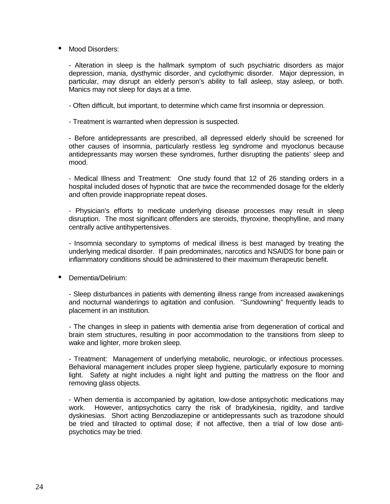#### • Mood Disorders:

- Alteration in sleep is the hallmark symptom of such psychiatric disorders as major depression, mania, dysthymic disorder, and cyclothymic disorder. Major depression, in particular, may disrupt an elderly person's ability to fall asleep, stay asleep, or both. Manics may not sleep for days at a time.

- Often difficult, but important, to determine which came first insomnia or depression.

- Treatment is warranted when depression is suspected.

- Before antidepressants are prescribed, all depressed elderly should be screened for other causes of insomnia, particularly restless leg syndrome and myoclonus because antidepressants may worsen these syndromes, further disrupting the patients' sleep and mood.

- Medical Illness and Treatment: One study found that 12 of 26 standing orders in a hospital included doses of hypnotic that are twice the recommended dosage for the elderly and often provide inappropriate repeat doses.

- Physician's efforts to medicate underlying disease processes may result in sleep disruption. The most significant offenders are steroids, thyroxine, theophylline, and many centrally active antihypertensives.

- Insomnia secondary to symptoms of medical illness is best managed by treating the underlying medical disorder. If pain predominates, narcotics and NSAIDS for bone pain or inflammatory conditions should be administered to their maximum therapeutic benefit.

• Dementia/Delirium:

- Sleep disturbances in patients with dementing illness range from increased awakenings and nocturnal wanderings to agitation and confusion. "Sundowning" frequently leads to placement in an institution.

- The changes in sleep in patients with dementia arise from degeneration of cortical and brain stem structures, resulting in poor accommodation to the transitions from sleep to wake and lighter, more broken sleep.

- Treatment: Management of underlying metabolic, neurologic, or infectious processes. Behavioral management includes proper sleep hygiene, particularly exposure to morning light. Safety at night includes a night light and putting the mattress on the floor and removing glass objects.

- When dementia is accompanied by agitation, low-dose antipsychotic medications may work. However, antipsychotics carry the risk of bradykinesia, rigidity, and tardive dyskinesias. Short acting Benzodiazepine or antidepressants such as trazodone should be tried and tilracted to optimal dose; if not affective, then a trial of low dose antipsychotics may be tried.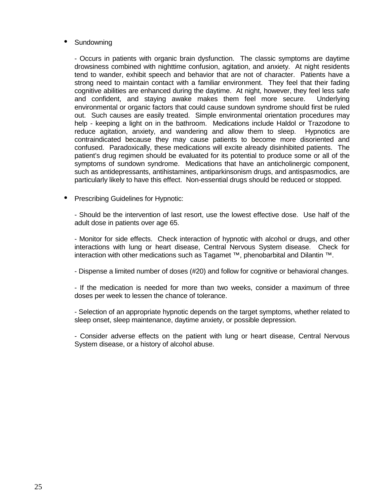#### **Sundowning**

- Occurs in patients with organic brain dysfunction. The classic symptoms are daytime drowsiness combined with nighttime confusion, agitation, and anxiety. At night residents tend to wander, exhibit speech and behavior that are not of character. Patients have a strong need to maintain contact with a familiar environment. They feel that their fading cognitive abilities are enhanced during the daytime. At night, however, they feel less safe and confident, and staying awake makes them feel more secure. Underlying environmental or organic factors that could cause sundown syndrome should first be ruled out. Such causes are easily treated. Simple environmental orientation procedures may help - keeping a light on in the bathroom. Medications include Haldol or Trazodone to reduce agitation, anxiety, and wandering and allow them to sleep. Hypnotics are contraindicated because they may cause patients to become more disoriented and confused. Paradoxically, these medications will excite already disinhibited patients. The patient's drug regimen should be evaluated for its potential to produce some or all of the symptoms of sundown syndrome. Medications that have an anticholinergic component, such as antidepressants, antihistamines, antiparkinsonism drugs, and antispasmodics, are particularly likely to have this effect. Non-essential drugs should be reduced or stopped.

• Prescribing Guidelines for Hypnotic:

- Should be the intervention of last resort, use the lowest effective dose. Use half of the adult dose in patients over age 65.

- Monitor for side effects. Check interaction of hypnotic with alcohol or drugs, and other interactions with lung or heart disease, Central Nervous System disease. Check for interaction with other medications such as Tagamet ™, phenobarbital and Dilantin ™.

- Dispense a limited number of doses (#20) and follow for cognitive or behavioral changes.

- If the medication is needed for more than two weeks, consider a maximum of three doses per week to lessen the chance of tolerance.

- Selection of an appropriate hypnotic depends on the target symptoms, whether related to sleep onset, sleep maintenance, daytime anxiety, or possible depression.

- Consider adverse effects on the patient with lung or heart disease, Central Nervous System disease, or a history of alcohol abuse.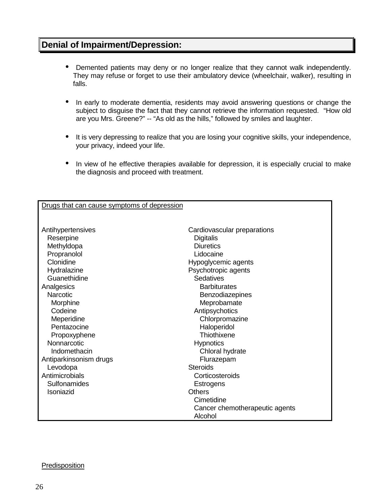## **Denial of Impairment/Depression:**

- Demented patients may deny or no longer realize that they cannot walk independently. They may refuse or forget to use their ambulatory device (wheelchair, walker), resulting in falls.
- In early to moderate dementia, residents may avoid answering questions or change the subject to disguise the fact that they cannot retrieve the information requested. "How old are you Mrs. Greene?" -- "As old as the hills," followed by smiles and laughter.
- It is very depressing to realize that you are losing your cognitive skills, your independence, your privacy, indeed your life.
- In view of he effective therapies available for depression, it is especially crucial to make the diagnosis and proceed with treatment.

| Drugs that can cause symptoms of depression |                                |
|---------------------------------------------|--------------------------------|
|                                             |                                |
|                                             |                                |
| Antihypertensives                           | Cardiovascular preparations    |
| Reserpine                                   | Digitalis                      |
| Methyldopa                                  | <b>Diuretics</b>               |
| Propranolol                                 | Lidocaine                      |
| Clonidine                                   | Hypoglycemic agents            |
| Hydralazine                                 | Psychotropic agents            |
| Guanethidine                                | Sedatives                      |
| Analgesics                                  | <b>Barbiturates</b>            |
| <b>Narcotic</b>                             | Benzodiazepines                |
| Morphine                                    | Meprobamate                    |
| Codeine                                     | Antipsychotics                 |
| Meperidine                                  | Chlorpromazine                 |
| Pentazocine                                 | Haloperidol                    |
| Propoxyphene                                | Thiothixene                    |
| Nonnarcotic                                 | <b>Hypnotics</b>               |
| Indomethacin                                | Chloral hydrate                |
| Antiparkinsonism drugs                      | Flurazepam                     |
| Levodopa                                    | <b>Steroids</b>                |
| Antimicrobials                              | Corticosteroids                |
| Sulfonamides                                | <b>Estrogens</b>               |
| Isoniazid                                   | <b>Others</b>                  |
|                                             | Cimetidine                     |
|                                             | Cancer chemotherapeutic agents |
|                                             | Alcohol                        |

#### Predisposition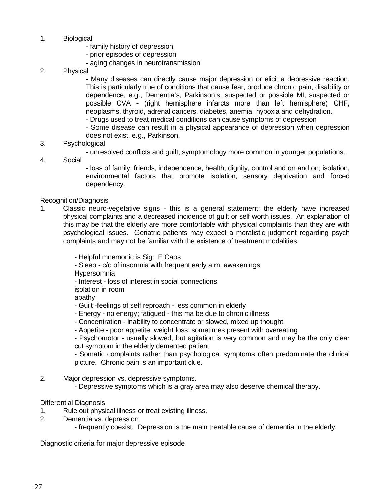- 1. Biological
	- family history of depression
	- prior episodes of depression
	- aging changes in neurotransmission
- 2. Physical

- Many diseases can directly cause major depression or elicit a depressive reaction. This is particularly true of conditions that cause fear, produce chronic pain, disability or dependence, e.g., Dementia's, Parkinson's, suspected or possible MI, suspected or possible CVA - (right hemisphere infarcts more than left hemisphere) CHF, neoplasms, thyroid, adrenal cancers, diabetes, anemia, hypoxia and dehydration.

- Drugs used to treat medical conditions can cause symptoms of depression

- Some disease can result in a physical appearance of depression when depression does not exist, e.g., Parkinson.

- 3. Psychological
	- unresolved conflicts and guilt; symptomology more common in younger populations.
- 4. Social

- loss of family, friends, independence, health, dignity, control and on and on; isolation, environmental factors that promote isolation, sensory deprivation and forced dependency.

#### Recognition/Diagnosis

1. Classic neuro-vegetative signs - this is a general statement; the elderly have increased physical complaints and a decreased incidence of guilt or self worth issues. An explanation of this may be that the elderly are more comfortable with physical complaints than they are with psychological issues. Geriatric patients may expect a moralistic judgment regarding psych complaints and may not be familiar with the existence of treatment modalities.

- Helpful mnemonic is Sig: E Caps

- Sleep - c/o of insomnia with frequent early a.m. awakenings

Hypersomnia

- Interest - loss of interest in social connections

isolation in room

apathy

- Guilt -feelings of self reproach less common in elderly
- Energy no energy; fatigued this ma be due to chronic illness
- Concentration inability to concentrate or slowed, mixed up thought
- Appetite poor appetite, weight loss; sometimes present with overeating

- Psychomotor - usually slowed, but agitation is very common and may be the only clear cut symptom in the elderly demented patient

- Somatic complaints rather than psychological symptoms often predominate the clinical picture. Chronic pain is an important clue.

- 2. Major depression vs. depressive symptoms.
	- Depressive symptoms which is a gray area may also deserve chemical therapy.

#### Differential Diagnosis

- 1. Rule out physical illness or treat existing illness.
- 2. Dementia vs. depression
	- frequently coexist. Depression is the main treatable cause of dementia in the elderly.

Diagnostic criteria for major depressive episode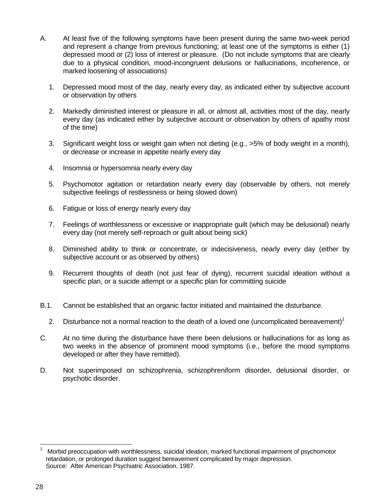- A. At least five of the following symptoms have been present during the same two-week period and represent a change from previous functioning; at least one of the symptoms is either (1) depressed mood or (2) loss of interest or pleasure. (Do not include symptoms that are clearly due to a physical condition, mood-incongruent delusions or hallucinations, incoherence, or marked loosening of associations)
	- 1. Depressed mood most of the day, nearly every day, as indicated either by subjective account or observation by others
	- 2. Markedly diminished interest or pleasure in all, or almost all, activities most of the day, nearly every day (as indicated either by subjective account or observation by others of apathy most of the time)
	- 3. Significant weight loss or weight gain when not dieting (e.g., >5% of body weight in a month), or decrease or increase in appetite nearly every day
	- 4. Insomnia or hypersomnia nearly every day
	- 5. Psychomotor agitation or retardation nearly every day (observable by others, not merely subjective feelings of restlessness or being slowed down)
	- 6. Fatigue or loss of energy nearly every day
	- 7. Feelings of worthlessness or excessive or inappropriate guilt (which may be delusional) nearly every day (not merely self-reproach or guilt about being sick)
	- 8. Diminished ability to think or concentrate, or indecisiveness, nearly every day (either by subjective account or as observed by others)
	- 9. Recurrent thoughts of death (not just fear of dying), recurrent suicidal ideation without a specific plan, or a suicide attempt or a specific plan for committing suicide
- B.1. Cannot be established that an organic factor initiated and maintained the disturbance.
	- 2. Disturbance not a normal reaction to the death of a loved one (uncomplicated bereavement)<sup>1</sup>
- C. At no time during the disturbance have there been delusions or hallucinations for as long as two weeks in the absence of prominent mood symptoms (i.e., before the mood symptoms developed or after they have remitted).
- D. Not superimposed on schizophrenia, schizophreniform disorder, delusional disorder, or psychotic disorder.

 $\overline{a}$ 1 Morbid preoccupation with worthlessness, suicidal ideation, marked functional impairment of psychomotor retardation, or prolonged duration suggest bereavement complicated by major depression. Source: After American Psychiatric Association, 1987.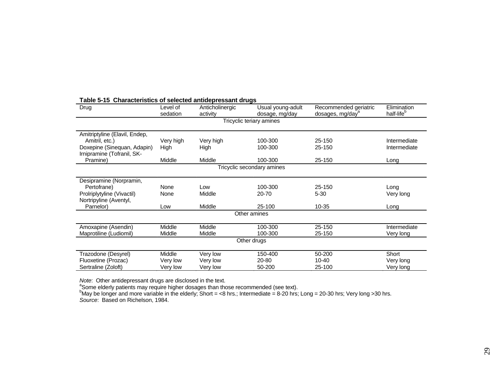| Drug                                                      | Level of<br>sedation | <u>onaraotoriotivo or oolootoa antiaoproodant arago</u><br>Anticholinergic<br>activity | Usual young-adult<br>dosage, mg/day | Recommended geriatric<br>dosages, mg/day <sup>a</sup> | Elimination<br>half-life <sup>b</sup> |
|-----------------------------------------------------------|----------------------|----------------------------------------------------------------------------------------|-------------------------------------|-------------------------------------------------------|---------------------------------------|
|                                                           |                      |                                                                                        | Tricyclic teriary amines            |                                                       |                                       |
|                                                           |                      |                                                                                        |                                     |                                                       |                                       |
| Amitriptyline (Elavil, Endep,                             |                      |                                                                                        |                                     |                                                       |                                       |
| Amitril, etc.)                                            | Very high            | Very high                                                                              | 100-300                             | 25-150                                                | Intermediate                          |
| Doxepine (Sinequan, Adapin)<br>Irnipramine (Tofranil, SK- | High                 | High                                                                                   | 100-300                             | 25-150                                                | Intermediate                          |
| Pramine)                                                  | Middle               | Middle                                                                                 | 100-300                             | 25-150                                                | Long                                  |
|                                                           |                      |                                                                                        | Tricyclic secondary amines          |                                                       |                                       |
|                                                           |                      |                                                                                        |                                     |                                                       |                                       |
| Desipramine (Norpramin,                                   |                      |                                                                                        |                                     |                                                       |                                       |
| Pertofrane)                                               | None                 | Low                                                                                    | 100-300                             | 25-150                                                | Long                                  |
| Prolriplytyline (Vivactil)                                | None                 | Middle                                                                                 | 20-70                               | $5 - 30$                                              | Very long                             |
| Nortripyline (Aventyl,                                    |                      |                                                                                        |                                     |                                                       |                                       |
| Parnelor)                                                 | Low                  | Middle                                                                                 | 25-100                              | 10-35                                                 | Long                                  |
|                                                           |                      |                                                                                        | Other amines                        |                                                       |                                       |
|                                                           |                      |                                                                                        |                                     | 25-150                                                |                                       |
| Amoxapine (Asendin)                                       | Middle               | Middle                                                                                 | 100-300                             |                                                       | Intermediate                          |
| Maprotiline (Ludiomil)                                    | Middle               | Middle                                                                                 | 100-300                             | 25-150                                                | Very long                             |
|                                                           |                      |                                                                                        | Other drugs                         |                                                       |                                       |
| Trazodone (Desyrel)                                       | Middle               | Very low                                                                               | 150-400                             | 50-200                                                | Short                                 |
| Fluoxetine (Prozac)                                       | Very low             | Very low                                                                               | 20-80                               | $10 - 40$                                             | Very long                             |
| Sertraline (Zoloft)                                       | Very low             | Very low                                                                               | 50-200                              | 25-100                                                | Very long                             |

#### **Table 5-15 Characteristics of selected antidepressant drugs**

Note: Other antidepressant drugs are disclosed in the text.

<sup>a</sup>Some elderly patients may require higher dosages than those recommended (see text).<br><sup>b</sup>May be longer and more variable in the elderly; Short = <8 hrs.; Intermediate = 8-20 hrs; Long = 20-30 hrs; Very long >30 hrs. So*urce*: Based on Richelson, 1984.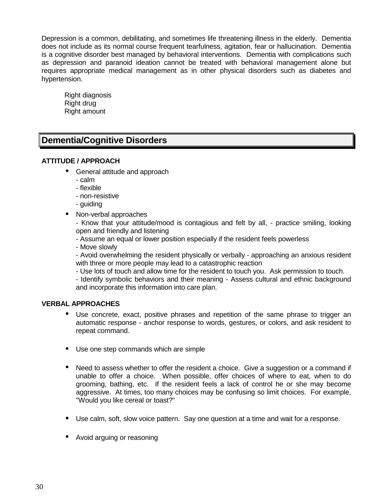Depression is a common, debilitating, and sometimes life threatening illness in the elderly. Dementia does not include as its normal course frequent tearfulness, agitation, fear or hallucination. Dementia is a cognitive disorder best managed by behavioral interventions. Dementia with complications such as depression and paranoid ideation cannot be treated with behavioral management alone but requires appropriate medical management as in other physical disorders such as diabetes and hypertension.

Right diagnosis Right drug Right amount

## **Dementia/Cognitive Disorders**

#### **ATTITUDE / APPROACH**

- General attitude and approach
	- calm
	- flexible
	- non-resistive
	- guiding
- Non-verbal approaches

- Know that your attitude/mood is contagious and felt by all, - practice smiling, looking open and friendly and listening

- Assume an equal or lower position especially if the resident feels powerless

- Move slowly

- Avoid overwhelming the resident physically or verbally - approaching an anxious resident with three or more people may lead to a catastrophic reaction

- Use lots of touch and allow time for the resident to touch you. Ask permission to touch.

- Identify symbolic behaviors and their meaning - Assess cultural and ethnic background and incorporate this information into care plan.

#### **VERBAL APPROACHES**

- Use concrete, exact, positive phrases and repetition of the same phrase to trigger an automatic response - anchor response to words, gestures, or colors, and ask resident to repeat command.
- Use one step commands which are simple
- Need to assess whether to offer the resident a choice. Give a suggestion or a command if unable to offer a choice. When possible, offer choices of where to eat, when to do grooming, bathing, etc. If the resident feels a lack of control he or she may become aggressive. At times, too many choices may be confusing so limit choices. For example, "Would you like cereal or toast?"
- Use calm, soft, slow voice pattern. Say one question at a time and wait for a response.
- Avoid arguing or reasoning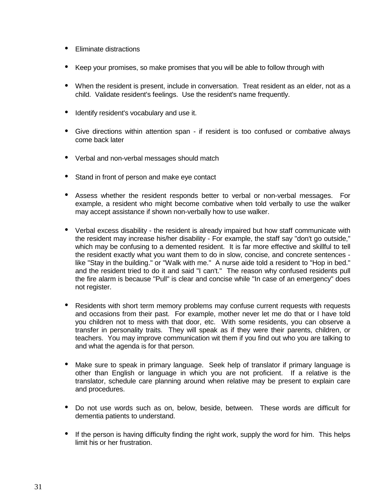- Eliminate distractions
- Keep your promises, so make promises that you will be able to follow through with
- When the resident is present, include in conversation. Treat resident as an elder, not as a child. Validate resident's feelings. Use the resident's name frequently.
- Identify resident's vocabulary and use it.
- Give directions within attention span if resident is too confused or combative always come back later
- Verbal and non-verbal messages should match
- Stand in front of person and make eye contact
- Assess whether the resident responds better to verbal or non-verbal messages. For example, a resident who might become combative when told verbally to use the walker may accept assistance if shown non-verbally how to use walker.
- Verbal excess disability the resident is already impaired but how staff communicate with the resident may increase his/her disability - For example, the staff say "don't go outside," which may be confusing to a demented resident. It is far more effective and skillful to tell the resident exactly what you want them to do in slow, concise, and concrete sentences like "Stay in the building." or "Walk with me." A nurse aide told a resident to "Hop in bed." and the resident tried to do it and said "I can't." The reason why confused residents pull the fire alarm is because "Pull" is clear and concise while "In case of an emergency" does not register.
- Residents with short term memory problems may confuse current requests with requests and occasions from their past. For example, mother never let me do that or I have told you children not to mess with that door, etc. With some residents, you can observe a transfer in personality traits. They will speak as if they were their parents, children, or teachers. You may improve communication wit them if you find out who you are talking to and what the agenda is for that person.
- Make sure to speak in primary language. Seek help of translator if primary language is other than English or language in which you are not proficient. If a relative is the translator, schedule care planning around when relative may be present to explain care and procedures.
- Do not use words such as on, below, beside, between. These words are difficult for dementia patients to understand.
- If the person is having difficulty finding the right work, supply the word for him. This helps limit his or her frustration.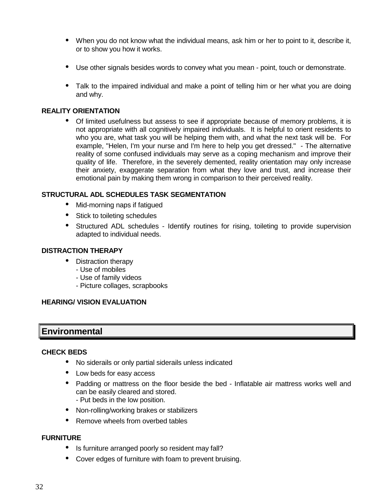- When you do not know what the individual means, ask him or her to point to it, describe it, or to show you how it works.
- Use other signals besides words to convey what you mean point, touch or demonstrate.
- Talk to the impaired individual and make a point of telling him or her what you are doing and why.

#### **REALITY ORIENTATION**

• Of limited usefulness but assess to see if appropriate because of memory problems, it is not appropriate with all cognitively impaired individuals. It is helpful to orient residents to who you are, what task you will be helping them with, and what the next task will be. For example, "Helen, I'm your nurse and I'm here to help you get dressed." - The alternative reality of some confused individuals may serve as a coping mechanism and improve their quality of life. Therefore, in the severely demented, reality orientation may only increase their anxiety, exaggerate separation from what they love and trust, and increase their emotional pain by making them wrong in comparison to their perceived reality.

#### **STRUCTURAL ADL SCHEDULES TASK SEGMENTATION**

- Mid-morning naps if fatigued
- Stick to toileting schedules
- Structured ADL schedules Identify routines for rising, toileting to provide supervision adapted to individual needs.

#### **DISTRACTION THERAPY**

- Distraction therapy
	- Use of mobiles
	- Use of family videos
	- Picture collages, scrapbooks

#### **HEARING/ VISION EVALUATION**

### **Environmental**

#### **CHECK BEDS**

- No siderails or only partial siderails unless indicated
- Low beds for easy access
- Padding or mattress on the floor beside the bed Inflatable air mattress works well and can be easily cleared and stored. - Put beds in the low position.
- Non-rolling/working brakes or stabilizers
- Remove wheels from overbed tables

#### **FURNITURE**

- Is furniture arranged poorly so resident may fall?
- Cover edges of furniture with foam to prevent bruising.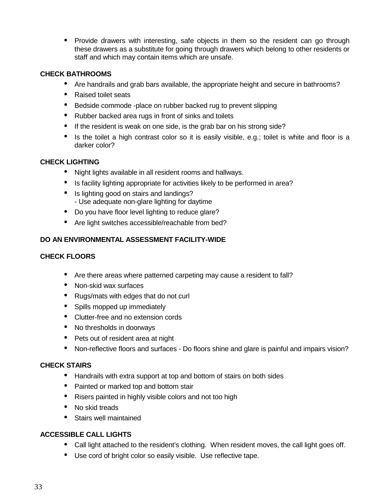• Provide drawers with interesting, safe objects in them so the resident can go through these drawers as a substitute for going through drawers which belong to other residents or staff and which may contain items which are unsafe.

#### **CHECK BATHROOMS**

- Are handrails and grab bars available, the appropriate height and secure in bathrooms?
- Raised toilet seats
- Bedside commode -place on rubber backed rug to prevent slipping
- Rubber backed area rugs in front of sinks and toilets
- If the resident is weak on one side, is the grab bar on his strong side?
- Is the toilet a high contrast color so it is easily visible, e.g.; toilet is white and floor is a darker color?

#### **CHECK LIGHTING**

- Night lights available in all resident rooms and hallways.
- Is facility lighting appropriate for activities likely to be performed in area?
- Is lighting good on stairs and landings? - Use adequate non-glare lighting for daytime
- Do you have floor level lighting to reduce glare?
- Are light switches accessible/reachable from bed?

#### **DO AN ENVIRONMENTAL ASSESSMENT FACILITY-WIDE**

#### **CHECK FLOORS**

- Are there areas where patterned carpeting may cause a resident to fall?
- Non-skid wax surfaces
- Rugs/mats with edges that do not curl
- Spills mopped up immediately
- Clutter-free and no extension cords
- No thresholds in doorways
- Pets out of resident area at night
- Non-reflective floors and surfaces Do floors shine and glare is painful and impairs vision?

#### **CHECK STAIRS**

- Handrails with extra support at top and bottom of stairs on both sides
- Painted or marked top and bottom stair
- Risers painted in highly visible colors and not too high
- No skid treads
- Stairs well maintained

#### **ACCESSIBLE CALL LIGHTS**

- Call light attached to the resident's clothing. When resident moves, the call light goes off.
- Use cord of bright color so easily visible. Use reflective tape.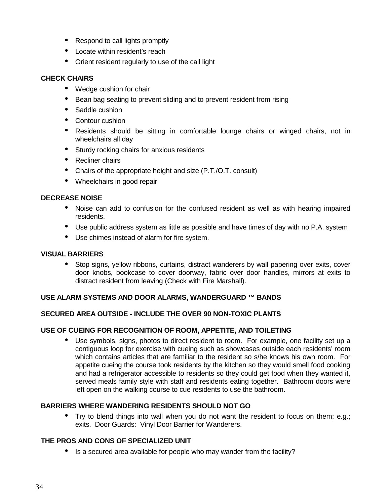- Respond to call lights promptly
- Locate within resident's reach
- Orient resident regularly to use of the call light

#### **CHECK CHAIRS**

- Wedge cushion for chair
- Bean bag seating to prevent sliding and to prevent resident from rising
- Saddle cushion
- Contour cushion
- Residents should be sitting in comfortable lounge chairs or winged chairs, not in wheelchairs all day
- Sturdy rocking chairs for anxious residents
- Recliner chairs
- Chairs of the appropriate height and size (P.T./O.T. consult)
- Wheelchairs in good repair

#### **DECREASE NOISE**

- Noise can add to confusion for the confused resident as well as with hearing impaired residents.
- Use public address system as little as possible and have times of day with no P.A. system
- Use chimes instead of alarm for fire system.

#### **VISUAL BARRIERS**

• Stop signs, yellow ribbons, curtains, distract wanderers by wall papering over exits, cover door knobs, bookcase to cover doorway, fabric over door handles, mirrors at exits to distract resident from leaving (Check with Fire Marshall).

#### **USE ALARM SYSTEMS AND DOOR ALARMS, WANDERGUARD ™ BANDS**

#### **SECURED AREA OUTSIDE - INCLUDE THE OVER 90 NON-TOXIC PLANTS**

#### **USE OF CUEING FOR RECOGNITION OF ROOM, APPETITE, AND TOILETING**

• Use symbols, signs, photos to direct resident to room. For example, one facility set up a contiguous loop for exercise with cueing such as showcases outside each residents' room which contains articles that are familiar to the resident so s/he knows his own room. For appetite cueing the course took residents by the kitchen so they would smell food cooking and had a refrigerator accessible to residents so they could get food when they wanted it, served meals family style with staff and residents eating together. Bathroom doors were left open on the walking course to cue residents to use the bathroom.

#### **BARRIERS WHERE WANDERING RESIDENTS SHOULD NOT GO**

• Try to blend things into wall when you do not want the resident to focus on them; e.g.; exits. Door Guards: Vinyl Door Barrier for Wanderers.

#### **THE PROS AND CONS OF SPECIALIZED UNIT**

• Is a secured area available for people who may wander from the facility?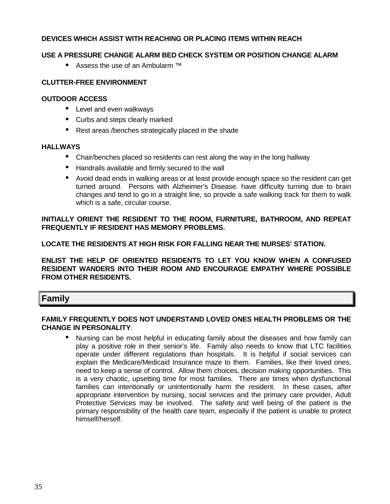#### **DEVICES WHICH ASSIST WITH REACHING OR PLACING ITEMS WITHIN REACH**

#### **USE A PRESSURE CHANGE ALARM BED CHECK SYSTEM OR POSITION CHANGE ALARM**

• Assess the use of an Ambularm ™

#### **CLUTTER-FREE ENVIRONMENT**

#### **OUTDOOR ACCESS**

- Level and even walkways
- Curbs and steps clearly marked
- Rest areas /benches strategically placed in the shade

#### **HALLWAYS**

- Chair/benches placed so residents can rest along the way in the long hallway
- Handrails available and firmly secured to the wall
- Avoid dead ends in walking areas or at least provide enough space so the resident can get turned around. Persons with Alzheimer's Disease. have difficulty turning due to brain changes and tend to go in a straight line, so provide a safe walking track for them to walk which is a safe, circular course.

**INITIALLY ORIENT THE RESIDENT TO THE ROOM, FURNITURE, BATHROOM, AND REPEAT FREQUENTLY IF RESIDENT HAS MEMORY PROBLEMS.**

**LOCATE THE RESIDENTS AT HIGH RISK FOR FALLING NEAR THE NURSES' STATION.**

**ENLIST THE HELP OF ORIENTED RESIDENTS TO LET YOU KNOW WHEN A CONFUSED RESIDENT WANDERS INTO THEIR ROOM AND ENCOURAGE EMPATHY WHERE POSSIBLE FROM OTHER RESIDENTS.**

#### **Family**

#### **FAMILY FREQUENTLY DOES NOT UNDERSTAND LOVED ONES HEALTH PROBLEMS OR THE CHANGE IN PERSONALITY**.

• Nursing can be most helpful in educating family about the diseases and how family can play a positive role in their senior's life. Family also needs to know that LTC facilities operate under different regulations than hospitals. It is helpful if social services can explain the Medicare/Medicaid Insurance maze to them. Families, like their loved ones, need to keep a sense of control. Allow them choices, decision making opportunities. This is a very chaotic, upsetting time for most families. There are times when dysfunctional families can intentionally or unintentionally harm the resident. In these cases, after appropriate intervention by nursing, social services and the primary care provider, Adult Protective Services may be involved. The safety and well being of the patient is the primary responsibility of the health care team, especially if the patient is unable to protect himself/herself.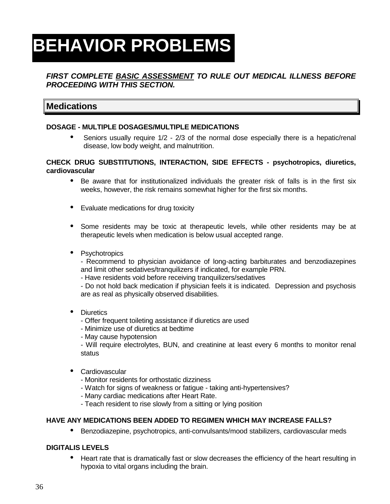# **BEHAVIOR PROBLEMS**

### **FIRST COMPLETE BASIC ASSESSMENT TO RULE OUT MEDICAL ILLNESS BEFORE PROCEEDING WITH THIS SECTION.**

## **Medications**

#### **DOSAGE - MULTIPLE DOSAGES/MULTIPLE MEDICATIONS**

• Seniors usually require 1/2 - 2/3 of the normal dose especially there is a hepatic/renal disease, low body weight, and malnutrition.

#### **CHECK DRUG SUBSTITUTIONS, INTERACTION, SIDE EFFECTS - psychotropics, diuretics, cardiovascular**

- Be aware that for institutionalized individuals the greater risk of falls is in the first six weeks, however, the risk remains somewhat higher for the first six months.
- Evaluate medications for drug toxicity
- Some residents may be toxic at therapeutic levels, while other residents may be at therapeutic levels when medication is below usual accepted range.
- Psychotropics

- Recommend to physician avoidance of long-acting barbiturates and benzodiazepines and limit other sedatives/tranquilizers if indicated, for example PRN.

- Have residents void before receiving tranquilizers/sedatives

- Do not hold back medication if physician feels it is indicated. Depression and psychosis are as real as physically observed disabilities.

- Diuretics
	- Offer frequent toileting assistance if diuretics are used
	- Minimize use of diuretics at bedtime
	- May cause hypotension

- Will require electrolytes, BUN, and creatinine at least every 6 months to monitor renal status

- Cardiovascular
	- Monitor residents for orthostatic dizziness
	- Watch for signs of weakness or fatigue taking anti-hypertensives?
	- Many cardiac medications after Heart Rate.
	- Teach resident to rise slowly from a sitting or lying position

#### **HAVE ANY MEDICATIONS BEEN ADDED TO REGIMEN WHICH MAY INCREASE FALLS?**

• Benzodiazepine, psychotropics, anti-convulsants/mood stabilizers, cardiovascular meds

#### **DIGITALIS LEVELS**

• Heart rate that is dramatically fast or slow decreases the efficiency of the heart resulting in hypoxia to vital organs including the brain.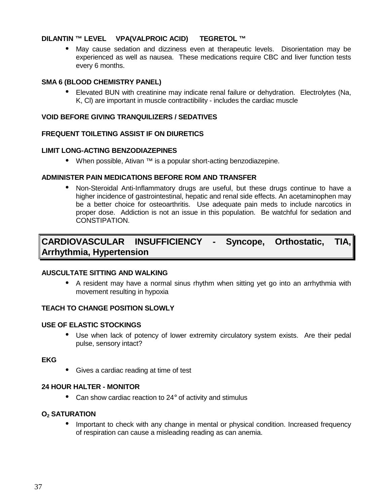#### **DILANTIN ™ LEVEL VPA(VALPROIC ACID) TEGRETOL ™**

May cause sedation and dizziness even at therapeutic levels. Disorientation may be experienced as well as nausea. These medications require CBC and liver function tests every 6 months.

#### **SMA 6 (BLOOD CHEMISTRY PANEL)**

• Elevated BUN with creatinine may indicate renal failure or dehydration. Electrolytes (Na, K, Cl) are important in muscle contractibility - includes the cardiac muscle

#### **VOID BEFORE GIVING TRANQUILIZERS / SEDATIVES**

#### **FREQUENT TOILETING ASSIST IF ON DIURETICS**

#### **LIMIT LONG-ACTING BENZODIAZEPINES**

• When possible, Ativan ™ is a popular short-acting benzodiazepine.

#### **ADMINISTER PAIN MEDICATIONS BEFORE ROM AND TRANSFER**

• Non-Steroidal Anti-Inflammatory drugs are useful, but these drugs continue to have a higher incidence of gastrointestinal, hepatic and renal side effects. An acetaminophen may be a better choice for osteoarthritis. Use adequate pain meds to include narcotics in proper dose. Addiction is not an issue in this population. Be watchful for sedation and CONSTIPATION.

## **CARDIOVASCULAR INSUFFICIENCY - Syncope, Orthostatic, TIA, Arrhythmia, Hypertension**

#### **AUSCULTATE SITTING AND WALKING**

• A resident may have a normal sinus rhythm when sitting yet go into an arrhythmia with movement resulting in hypoxia

#### **TEACH TO CHANGE POSITION SLOWLY**

#### **USE OF ELASTIC STOCKINGS**

• Use when lack of potency of lower extremity circulatory system exists. Are their pedal pulse, sensory intact?

#### **EKG**

• Gives a cardiac reading at time of test

#### **24 HOUR HALTER - MONITOR**

• Can show cardiac reaction to 24° of activity and stimulus

#### **O2 SATURATION**

• Important to check with any change in mental or physical condition. Increased frequency of respiration can cause a misleading reading as can anemia.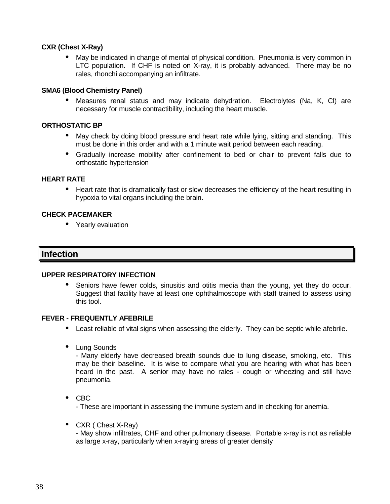#### **CXR (Chest X-Ray)**

• May be indicated in change of mental of physical condition. Pneumonia is very common in LTC population. If CHF is noted on X-ray, it is probably advanced. There may be no rales, rhonchi accompanying an infiltrate.

#### **SMA6 (Blood Chemistry Panel)**

• Measures renal status and may indicate dehydration. Electrolytes (Na, K, Cl) are necessary for muscle contractibility, including the heart muscle.

#### **ORTHOSTATIC BP**

- May check by doing blood pressure and heart rate while lying, sitting and standing. This must be done in this order and with a 1 minute wait period between each reading.
- Gradually increase mobility after confinement to bed or chair to prevent falls due to orthostatic hypertension

#### **HEART RATE**

• Heart rate that is dramatically fast or slow decreases the efficiency of the heart resulting in hypoxia to vital organs including the brain.

#### **CHECK PACEMAKER**

• Yearly evaluation

### **Infection**

#### **UPPER RESPIRATORY INFECTION**

• Seniors have fewer colds, sinusitis and otitis media than the young, yet they do occur. Suggest that facility have at least one ophthalmoscope with staff trained to assess using this tool.

#### **FEVER - FREQUENTLY AFEBRILE**

- Least reliable of vital signs when assessing the elderly. They can be septic while afebrile.
- Lung Sounds

- Many elderly have decreased breath sounds due to lung disease, smoking, etc. This may be their baseline. It is wise to compare what you are hearing with what has been heard in the past. A senior may have no rales - cough or wheezing and still have pneumonia.

• CBC

- These are important in assessing the immune system and in checking for anemia.

• CXR ( Chest X-Ray)

- May show infiltrates, CHF and other pulmonary disease. Portable x-ray is not as reliable as large x-ray, particularly when x-raying areas of greater density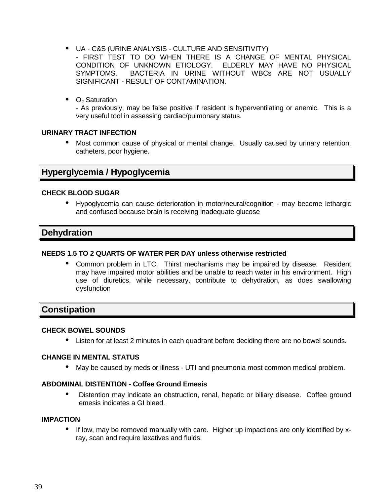- UA C&S (URINE ANALYSIS CULTURE AND SENSITIVITY)
	- FIRST TEST TO DO WHEN THERE IS A CHANGE OF MENTAL PHYSICAL CONDITION OF UNKNOWN ETIOLOGY. ELDERLY MAY HAVE NO PHYSICAL SYMPTOMS. BACTERIA IN URINE WITHOUT WBCs ARE NOT USUALLY SIGNIFICANT - RESULT OF CONTAMINATION.
- $\bullet$   $O_2$  Saturation

- As previously, may be false positive if resident is hyperventilating or anemic. This is a very useful tool in assessing cardiac/pulmonary status.

#### **URINARY TRACT INFECTION**

• Most common cause of physical or mental change. Usually caused by urinary retention, catheters, poor hygiene.

### **Hyperglycemia / Hypoglycemia**

#### **CHECK BLOOD SUGAR**

• Hypoglycemia can cause deterioration in motor/neural/cognition - may become lethargic and confused because brain is receiving inadequate glucose

## **Dehydration**

#### **NEEDS 1.5 TO 2 QUARTS OF WATER PER DAY unless otherwise restricted**

• Common problem in LTC. Thirst mechanisms may be impaired by disease. Resident may have impaired motor abilities and be unable to reach water in his environment. High use of diuretics, while necessary, contribute to dehydration, as does swallowing dysfunction

### **Constipation**

#### **CHECK BOWEL SOUNDS**

• Listen for at least 2 minutes in each quadrant before deciding there are no bowel sounds.

#### **CHANGE IN MENTAL STATUS**

May be caused by meds or illness - UTI and pneumonia most common medical problem.

#### **ABDOMINAL DISTENTION - Coffee Ground Emesis**

• Distention may indicate an obstruction, renal, hepatic or biliary disease. Coffee ground emesis indicates a GI bleed.

#### **IMPACTION**

• If low, may be removed manually with care. Higher up impactions are only identified by xray, scan and require laxatives and fluids.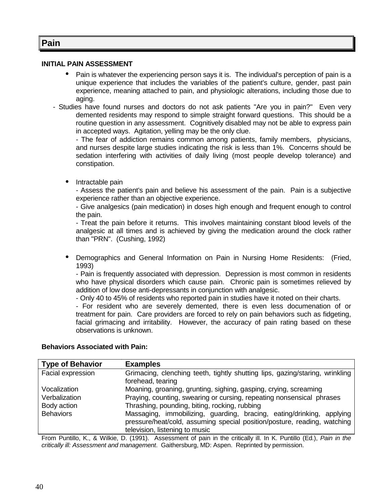### **Pain**

#### **INITIAL PAIN ASSESSMENT**

- Pain is whatever the experiencing person says it is. The individual's perception of pain is a unique experience that includes the variables of the patient's culture, gender, past pain experience, meaning attached to pain, and physiologic alterations, including those due to aging.
- Studies have found nurses and doctors do not ask patients "Are you in pain?" Even very demented residents may respond to simple straight forward questions. This should be a routine question in any assessment. Cognitively disabled may not be able to express pain in accepted ways. Agitation, yelling may be the only clue.

- The fear of addiction remains common among patients, family members, physicians, and nurses despite large studies indicating the risk is less than 1%. Concerns should be sedation interfering with activities of daily living (most people develop tolerance) and constipation.

• Intractable pain

- Assess the patient's pain and believe his assessment of the pain. Pain is a subjective experience rather than an objective experience.

- Give analgesics (pain medication) in doses high enough and frequent enough to control the pain.

- Treat the pain before it returns. This involves maintaining constant blood levels of the analgesic at all times and is achieved by giving the medication around the clock rather than "PRN". (Cushing, 1992)

• Demographics and General Information on Pain in Nursing Home Residents: (Fried, 1993)

- Pain is frequently associated with depression. Depression is most common in residents who have physical disorders which cause pain. Chronic pain is sometimes relieved by addition of low dose anti-depressants in conjunction with analgesic.

- Only 40 to 45% of residents who reported pain in studies have it noted on their charts.

- For resident who are severely demented, there is even less documenation of or treatment for pain. Care providers are forced to rely on pain behaviors such as fidgeting, facial grimacing and irritability. However, the accuracy of pain rating based on these observations is unknown.

#### **Behaviors Associated with Pain:**

| <b>Type of Behavior</b> | <b>Examples</b>                                                              |
|-------------------------|------------------------------------------------------------------------------|
| Facial expression       | Grimacing, clenching teeth, tightly shutting lips, gazing/staring, wrinkling |
|                         | forehead, tearing                                                            |
| Vocalization            | Moaning, groaning, grunting, sighing, gasping, crying, screaming             |
| Verbalization           | Praying, counting, swearing or cursing, repeating nonsensical phrases        |
| Body action             | Thrashing, pounding, biting, rocking, rubbing                                |
| <b>Behaviors</b>        | Massaging, immobilizing, guarding, bracing, eating/drinking, applying        |
|                         | pressure/heat/cold, assuming special position/posture, reading, watching     |
|                         | television, listening to music                                               |

From Puntillo, K., & Wilkie, D. (1991). Assessment of pain in the critically ill. In K. Puntillo (Ed.), Pain in the critically ill: Assessment and management. Gaithersburg, MD: Aspen. Reprinted by permission.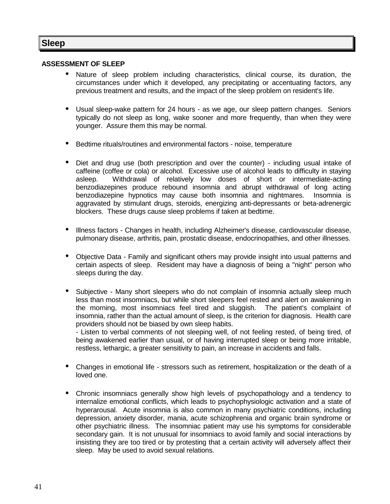## **Sleep**

#### **ASSESSMENT OF SLEEP**

- Nature of sleep problem including characteristics, clinical course, its duration, the circumstances under which it developed, any precipitating or accentuating factors, any previous treatment and results, and the impact of the sleep problem on resident's life.
- Usual sleep-wake pattern for 24 hours as we age, our sleep pattern changes. Seniors typically do not sleep as long, wake sooner and more frequently, than when they were younger. Assure them this may be normal.
- Bedtime rituals/routines and environmental factors noise, temperature
- Diet and drug use (both prescription and over the counter) including usual intake of caffeine (coffee or cola) or alcohol. Excessive use of alcohol leads to difficulty in staying<br>asleep. Withdrawal of relatively low doses of short or intermediate-acting Withdrawal of relatively low doses of short or intermediate-acting benzodiazepines produce rebound insomnia and abrupt withdrawal of long acting benzodiazepine hypnotics may cause both insomnia and nightmares. Insomnia is aggravated by stimulant drugs, steroids, energizing anti-depressants or beta-adrenergic blockers. These drugs cause sleep problems if taken at bedtime.
- Illness factors Changes in health, including Alzheimer's disease, cardiovascular disease, pulmonary disease, arthritis, pain, prostatic disease, endocrinopathies, and other illnesses.
- Objective Data Family and significant others may provide insight into usual patterns and certain aspects of sleep. Resident may have a diagnosis of being a "night" person who sleeps during the day.
- Subjective Many short sleepers who do not complain of insomnia actually sleep much less than most insomniacs, but while short sleepers feel rested and alert on awakening in the morning, most insomniacs feel tired and sluggish. The patient's complaint of insomnia, rather than the actual amount of sleep, is the criterion for diagnosis. Health care providers should not be biased by own sleep habits.

- Listen to verbal comments of not sleeping well, of not feeling rested, of being tired, of being awakened earlier than usual, or of having interrupted sleep or being more irritable, restless, lethargic, a greater sensitivity to pain, an increase in accidents and falls.

- Changes in emotional life stressors such as retirement, hospitalization or the death of a loved one.
- Chronic insomniacs generally show high levels of psychopathology and a tendency to internalize emotional conflicts, which leads to psychophysiologic activation and a state of hyperarousal. Acute insomnia is also common in many psychiatric conditions, including depression, anxiety disorder, mania, acute schizophrenia and organic brain syndrome or other psychiatric illness. The insomniac patient may use his symptoms for considerable secondary gain. It is not unusual for insomniacs to avoid family and social interactions by insisting they are too tired or by protesting that a certain activity will adversely affect their sleep. May be used to avoid sexual relations.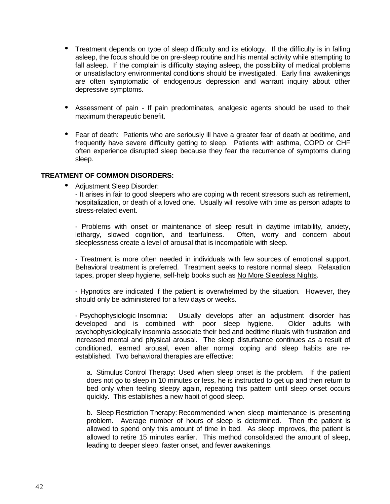- Treatment depends on type of sleep difficulty and its etiology. If the difficulty is in falling asleep, the focus should be on pre-sleep routine and his mental activity while attempting to fall asleep. If the complain is difficulty staying asleep, the possibility of medical problems or unsatisfactory environmental conditions should be investigated. Early final awakenings are often symptomatic of endogenous depression and warrant inquiry about other depressive symptoms.
- Assessment of pain If pain predominates, analgesic agents should be used to their maximum therapeutic benefit.
- Fear of death: Patients who are seriously ill have a greater fear of death at bedtime, and frequently have severe difficulty getting to sleep. Patients with asthma, COPD or CHF often experience disrupted sleep because they fear the recurrence of symptoms during sleep.

#### **TREATMENT OF COMMON DISORDERS:**

• Adjustment Sleep Disorder:

- It arises in fair to good sleepers who are coping with recent stressors such as retirement, hospitalization, or death of a loved one. Usually will resolve with time as person adapts to stress-related event.

- Problems with onset or maintenance of sleep result in daytime irritability, anxiety, lethargy, slowed cognition, and tearfulness. Often, worry and concern about sleeplessness create a level of arousal that is incompatible with sleep.

- Treatment is more often needed in individuals with few sources of emotional support. Behavioral treatment is preferred. Treatment seeks to restore normal sleep. Relaxation tapes, proper sleep hygiene, self-help books such as No More Sleepless Nights.

- Hypnotics are indicated if the patient is overwhelmed by the situation. However, they should only be administered for a few days or weeks.

- Psychophysiologic Insomnia: Usually develops after an adjustment disorder has developed and is combined with poor sleep hygiene. Older adults with psychophysiologically insomnia associate their bed and bedtime rituals with frustration and increased mental and physical arousal. The sleep disturbance continues as a result of conditioned, learned arousal, even after normal coping and sleep habits are reestablished. Two behavioral therapies are effective:

a. Stimulus Control Therapy: Used when sleep onset is the problem. If the patient does not go to sleep in 10 minutes or less, he is instructed to get up and then return to bed only when feeling sleepy again, repeating this pattern until sleep onset occurs quickly. This establishes a new habit of good sleep.

b. Sleep Restriction Therapy: Recommended when sleep maintenance is presenting problem. Average number of hours of sleep is determined. Then the patient is allowed to spend only this amount of time in bed. As sleep improves, the patient is allowed to retire 15 minutes earlier. This method consolidated the amount of sleep, leading to deeper sleep, faster onset, and fewer awakenings.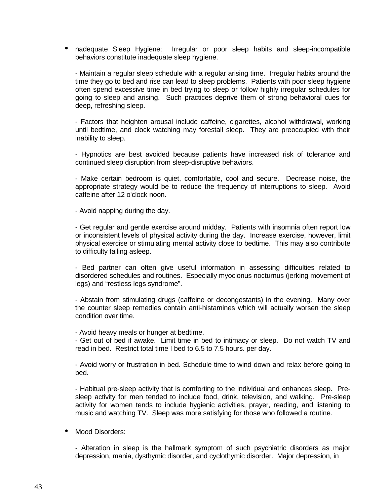• nadequate Sleep Hygiene: Irregular or poor sleep habits and sleep-incompatible behaviors constitute inadequate sleep hygiene.

- Maintain a regular sleep schedule with a regular arising time. Irregular habits around the time they go to bed and rise can lead to sleep problems. Patients with poor sleep hygiene often spend excessive time in bed trying to sleep or follow highly irregular schedules for going to sleep and arising. Such practices deprive them of strong behavioral cues for deep, refreshing sleep.

- Factors that heighten arousal include caffeine, cigarettes, alcohol withdrawal, working until bedtime, and clock watching may forestall sleep. They are preoccupied with their inability to sleep.

- Hypnotics are best avoided because patients have increased risk of tolerance and continued sleep disruption from sleep-disruptive behaviors.

- Make certain bedroom is quiet, comfortable, cool and secure. Decrease noise, the appropriate strategy would be to reduce the frequency of interruptions to sleep. Avoid caffeine after 12 o'clock noon.

- Avoid napping during the day.

- Get regular and gentle exercise around midday. Patients with insomnia often report low or inconsistent levels of physical activity during the day. Increase exercise, however, limit physical exercise or stimulating mental activity close to bedtime. This may also contribute to difficulty falling asleep.

- Bed partner can often give useful information in assessing difficulties related to disordered schedules and routines. Especially myoclonus nocturnus (jerking movement of legs) and "restless legs syndrome".

- Abstain from stimulating drugs (caffeine or decongestants) in the evening. Many over the counter sleep remedies contain anti-histamines which will actually worsen the sleep condition over time.

- Avoid heavy meals or hunger at bedtime.

- Get out of bed if awake. Limit time in bed to intimacy or sleep. Do not watch TV and read in bed. Restrict total time I bed to 6.5 to 7.5 hours. per day.

- Avoid worry or frustration in bed. Schedule time to wind down and relax before going to bed.

- Habitual pre-sleep activity that is comforting to the individual and enhances sleep. Presleep activity for men tended to include food, drink, television, and walking. Pre-sleep activity for women tends to include hygienic activities, prayer, reading, and listening to music and watching TV. Sleep was more satisfying for those who followed a routine.

Mood Disorders:

- Alteration in sleep is the hallmark symptom of such psychiatric disorders as major depression, mania, dysthymic disorder, and cyclothymic disorder. Major depression, in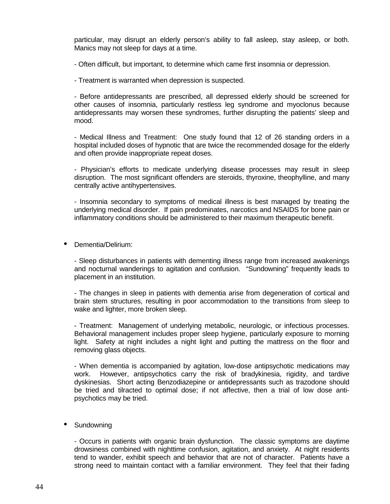particular, may disrupt an elderly person's ability to fall asleep, stay asleep, or both. Manics may not sleep for days at a time.

- Often difficult, but important, to determine which came first insomnia or depression.

- Treatment is warranted when depression is suspected.

- Before antidepressants are prescribed, all depressed elderly should be screened for other causes of insomnia, particularly restless leg syndrome and myoclonus because antidepressants may worsen these syndromes, further disrupting the patients' sleep and mood.

- Medical Illness and Treatment: One study found that 12 of 26 standing orders in a hospital included doses of hypnotic that are twice the recommended dosage for the elderly and often provide inappropriate repeat doses.

- Physician's efforts to medicate underlying disease processes may result in sleep disruption. The most significant offenders are steroids, thyroxine, theophylline, and many centrally active antihypertensives.

- Insomnia secondary to symptoms of medical illness is best managed by treating the underlying medical disorder. If pain predominates, narcotics and NSAIDS for bone pain or inflammatory conditions should be administered to their maximum therapeutic benefit.

• Dementia/Delirium:

- Sleep disturbances in patients with dementing illness range from increased awakenings and nocturnal wanderings to agitation and confusion. "Sundowning" frequently leads to placement in an institution.

- The changes in sleep in patients with dementia arise from degeneration of cortical and brain stem structures, resulting in poor accommodation to the transitions from sleep to wake and lighter, more broken sleep.

- Treatment: Management of underlying metabolic, neurologic, or infectious processes. Behavioral management includes proper sleep hygiene, particularly exposure to morning light. Safety at night includes a night light and putting the mattress on the floor and removing glass objects.

- When dementia is accompanied by agitation, low-dose antipsychotic medications may work. However, antipsychotics carry the risk of bradykinesia, rigidity, and tardive dyskinesias. Short acting Benzodiazepine or antidepressants such as trazodone should be tried and tilracted to optimal dose; if not affective, then a trial of low dose antipsychotics may be tried.

• Sundowning

- Occurs in patients with organic brain dysfunction. The classic symptoms are daytime drowsiness combined with nighttime confusion, agitation, and anxiety. At night residents tend to wander, exhibit speech and behavior that are not of character. Patients have a strong need to maintain contact with a familiar environment. They feel that their fading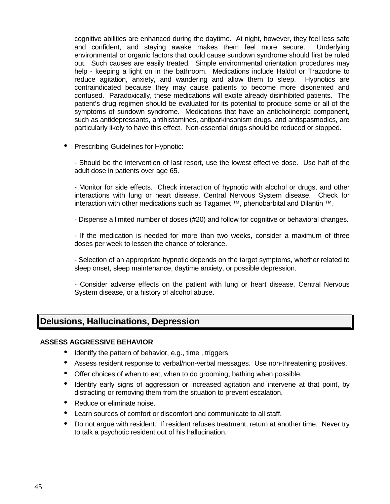cognitive abilities are enhanced during the daytime. At night, however, they feel less safe and confident, and staying awake makes them feel more secure. Underlying environmental or organic factors that could cause sundown syndrome should first be ruled out. Such causes are easily treated. Simple environmental orientation procedures may help - keeping a light on in the bathroom. Medications include Haldol or Trazodone to reduce agitation, anxiety, and wandering and allow them to sleep. Hypnotics are contraindicated because they may cause patients to become more disoriented and confused. Paradoxically, these medications will excite already disinhibited patients. The patient's drug regimen should be evaluated for its potential to produce some or all of the symptoms of sundown syndrome. Medications that have an anticholinergic component, such as antidepressants, antihistamines, antiparkinsonism drugs, and antispasmodics, are particularly likely to have this effect. Non-essential drugs should be reduced or stopped.

• Prescribing Guidelines for Hypnotic:

- Should be the intervention of last resort, use the lowest effective dose. Use half of the adult dose in patients over age 65.

- Monitor for side effects. Check interaction of hypnotic with alcohol or drugs, and other interactions with lung or heart disease, Central Nervous System disease. Check for interaction with other medications such as Tagamet ™, phenobarbital and Dilantin ™.

- Dispense a limited number of doses (#20) and follow for cognitive or behavioral changes.

- If the medication is needed for more than two weeks, consider a maximum of three doses per week to lessen the chance of tolerance.

- Selection of an appropriate hypnotic depends on the target symptoms, whether related to sleep onset, sleep maintenance, daytime anxiety, or possible depression.

- Consider adverse effects on the patient with lung or heart disease, Central Nervous System disease, or a history of alcohol abuse.

## **Delusions, Hallucinations, Depression**

#### **ASSESS AGGRESSIVE BEHAVIOR**

- Identify the pattern of behavior, e.g., time, triggers.
- Assess resident response to verbal/non-verbal messages. Use non-threatening positives.
- Offer choices of when to eat, when to do grooming, bathing when possible.
- Identify early signs of aggression or increased agitation and intervene at that point, by distracting or removing them from the situation to prevent escalation.
- Reduce or eliminate noise.
- Learn sources of comfort or discomfort and communicate to all staff.
- Do not argue with resident. If resident refuses treatment, return at another time. Never try to talk a psychotic resident out of his hallucination.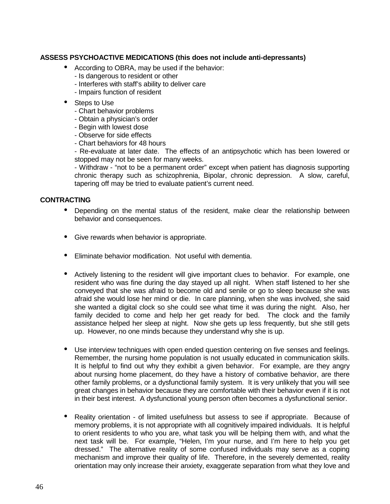#### **ASSESS PSYCHOACTIVE MEDICATIONS (this does not include anti-depressants)**

- According to OBRA, may be used if the behavior:
	- Is dangerous to resident or other
	- Interferes with staff's ability to deliver care
	- Impairs function of resident
- Steps to Use
	- Chart behavior problems
	- Obtain a physician's order
	- Begin with lowest dose
	- Observe for side effects
	- Chart behaviors for 48 hours

- Re-evaluate at later date. The effects of an antipsychotic which has been lowered or stopped may not be seen for many weeks.

- Withdraw - "not to be a permanent order" except when patient has diagnosis supporting chronic therapy such as schizophrenia, Bipolar, chronic depression. A slow, careful, tapering off may be tried to evaluate patient's current need.

#### **CONTRACTING**

- Depending on the mental status of the resident, make clear the relationship between behavior and consequences.
- Give rewards when behavior is appropriate.
- Eliminate behavior modification. Not useful with dementia.
- Actively listening to the resident will give important clues to behavior. For example, one resident who was fine during the day stayed up all night. When staff listened to her she conveyed that she was afraid to become old and senile or go to sleep because she was afraid she would lose her mind or die. In care planning, when she was involved, she said she wanted a digital clock so she could see what time it was during the night. Also, her family decided to come and help her get ready for bed. The clock and the family assistance helped her sleep at night. Now she gets up less frequently, but she still gets up. However, no one minds because they understand why she is up.
- Use interview techniques with open ended question centering on five senses and feelings. Remember, the nursing home population is not usually educated in communication skills. It is helpful to find out why they exhibit a given behavior. For example, are they angry about nursing home placement, do they have a history of combative behavior, are there other family problems, or a dysfunctional family system. It is very unlikely that you will see great changes in behavior because they are comfortable with their behavior even if it is not in their best interest. A dysfunctional young person often becomes a dysfunctional senior.
- Reality orientation of limited usefulness but assess to see if appropriate. Because of memory problems, it is not appropriate with all cognitively impaired individuals. It is helpful to orient residents to who you are, what task you will be helping them with, and what the next task will be. For example, "Helen, I'm your nurse, and I'm here to help you get dressed." The alternative reality of some confused individuals may serve as a coping mechanism and improve their quality of life. Therefore, in the severely demented, reality orientation may only increase their anxiety, exaggerate separation from what they love and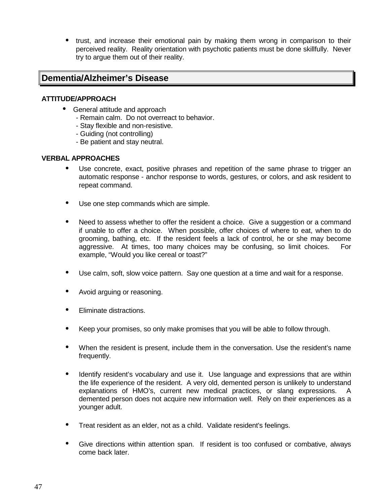• trust, and increase their emotional pain by making them wrong in comparison to their perceived reality. Reality orientation with psychotic patients must be done skillfully. Never try to argue them out of their reality.

### **Dementia/Alzheimer's Disease**

#### **ATTITUDE/APPROACH**

- General attitude and approach
	- Remain calm. Do not overreact to behavior.
	- Stay flexible and non-resistive.
	- Guiding (not controlling)
	- Be patient and stay neutral.

#### **VERBAL APPROACHES**

- Use concrete, exact, positive phrases and repetition of the same phrase to trigger an automatic response - anchor response to words, gestures, or colors, and ask resident to repeat command.
- Use one step commands which are simple.
- Need to assess whether to offer the resident a choice. Give a suggestion or a command if unable to offer a choice. When possible, offer choices of where to eat, when to do grooming, bathing, etc. If the resident feels a lack of control, he or she may become aggressive. At times, too many choices may be confusing, so limit choices. For example, "Would you like cereal or toast?"
- Use calm, soft, slow voice pattern. Say one question at a time and wait for a response.
- Avoid arguing or reasoning.
- Eliminate distractions.
- Keep your promises, so only make promises that you will be able to follow through.
- When the resident is present, include them in the conversation. Use the resident's name frequently.
- Identify resident's vocabulary and use it. Use language and expressions that are within the life experience of the resident. A very old, demented person is unlikely to understand explanations of HMO's, current new medical practices, or slang expressions. A demented person does not acquire new information well. Rely on their experiences as a younger adult.
- Treat resident as an elder, not as a child. Validate resident's feelings.
- Give directions within attention span. If resident is too confused or combative, always come back later.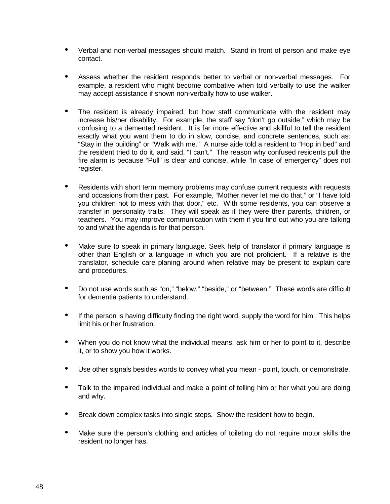- Verbal and non-verbal messages should match. Stand in front of person and make eye contact.
- Assess whether the resident responds better to verbal or non-verbal messages. For example, a resident who might become combative when told verbally to use the walker may accept assistance if shown non-verbally how to use walker.
- The resident is already impaired, but how staff communicate with the resident may increase his/her disability. For example, the staff say "don't go outside," which may be confusing to a demented resident. It is far more effective and skillful to tell the resident exactly what you want them to do in slow, concise, and concrete sentences, such as: "Stay in the building" or "Walk with me." A nurse aide told a resident to "Hop in bed" and the resident tried to do it, and said, "I can't." The reason why confused residents pull the fire alarm is because "Pull" is clear and concise, while "In case of emergency" does not register.
- Residents with short term memory problems may confuse current requests with requests and occasions from their past. For example, "Mother never let me do that," or "I have told you children not to mess with that door," etc. With some residents, you can observe a transfer in personality traits. They will speak as if they were their parents, children, or teachers. You may improve communication with them if you find out who you are talking to and what the agenda is for that person.
- Make sure to speak in primary language. Seek help of translator if primary language is other than English or a language in which you are not proficient. If a relative is the translator, schedule care planing around when relative may be present to explain care and procedures.
- Do not use words such as "on," "below," "beside," or "between." These words are difficult for dementia patients to understand.
- If the person is having difficulty finding the right word, supply the word for him. This helps limit his or her frustration.
- When you do not know what the individual means, ask him or her to point to it, describe it, or to show you how it works.
- Use other signals besides words to convey what you mean point, touch, or demonstrate.
- Talk to the impaired individual and make a point of telling him or her what you are doing and why.
- Break down complex tasks into single steps. Show the resident how to begin.
- Make sure the person's clothing and articles of toileting do not require motor skills the resident no longer has.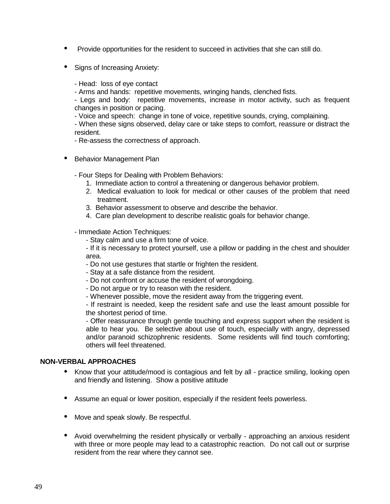- Provide opportunities for the resident to succeed in activities that she can still do.
- Signs of Increasing Anxiety:
	- Head: loss of eye contact

- Arms and hands: repetitive movements, wringing hands, clenched fists.

- Legs and body: repetitive movements, increase in motor activity, such as frequent changes in position or pacing.

- Voice and speech: change in tone of voice, repetitive sounds, crying, complaining.

- When these signs observed, delay care or take steps to comfort, reassure or distract the resident.

- Re-assess the correctness of approach.

- Behavior Management Plan
	- Four Steps for Dealing with Problem Behaviors:
		- 1. Immediate action to control a threatening or dangerous behavior problem.
		- 2. Medical evaluation to look for medical or other causes of the problem that need treatment.
		- 3. Behavior assessment to observe and describe the behavior.
		- 4. Care plan development to describe realistic goals for behavior change.

- Immediate Action Techniques:

- Stay calm and use a firm tone of voice.

- If it is necessary to protect yourself, use a pillow or padding in the chest and shoulder area.

- Do not use gestures that startle or frighten the resident.
- Stay at a safe distance from the resident.
- Do not confront or accuse the resident of wrongdoing.
- Do not argue or try to reason with the resident.
- Whenever possible, move the resident away from the triggering event.

- If restraint is needed, keep the resident safe and use the least amount possible for the shortest period of time.

- Offer reassurance through gentle touching and express support when the resident is able to hear you. Be selective about use of touch, especially with angry, depressed and/or paranoid schizophrenic residents. Some residents will find touch comforting; others will feel threatened.

#### **NON-VERBAL APPROACHES**

- Know that your attitude/mood is contagious and felt by all practice smiling, looking open and friendly and listening. Show a positive attitude
- Assume an equal or lower position, especially if the resident feels powerless.
- Move and speak slowly. Be respectful.
- Avoid overwhelming the resident physically or verbally approaching an anxious resident with three or more people may lead to a catastrophic reaction. Do not call out or surprise resident from the rear where they cannot see.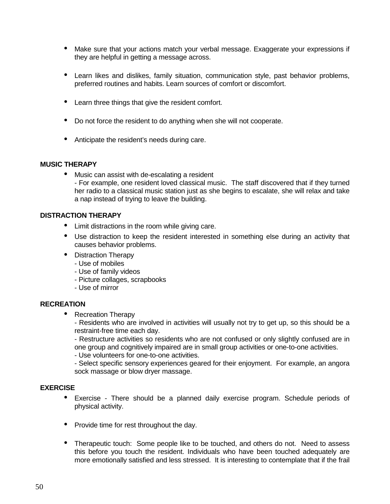- Make sure that your actions match your verbal message. Exaggerate your expressions if they are helpful in getting a message across.
- Learn likes and dislikes, family situation, communication style, past behavior problems, preferred routines and habits. Learn sources of comfort or discomfort.
- Learn three things that give the resident comfort.
- Do not force the resident to do anything when she will not cooperate.
- Anticipate the resident's needs during care.

#### **MUSIC THERAPY**

• Music can assist with de-escalating a resident - For example, one resident loved classical music. The staff discovered that if they turned her radio to a classical music station just as she begins to escalate, she will relax and take a nap instead of trying to leave the building.

#### **DISTRACTION THERAPY**

- Limit distractions in the room while giving care.
- Use distraction to keep the resident interested in something else during an activity that causes behavior problems.
- Distraction Therapy
	- Use of mobiles
	- Use of family videos
	- Picture collages, scrapbooks
	- Use of mirror

#### **RECREATION**

• Recreation Therapy

- Residents who are involved in activities will usually not try to get up, so this should be a restraint-free time each day.

- Restructure activities so residents who are not confused or only slightly confused are in one group and cognitively impaired are in small group activities or one-to-one activities.

- Use volunteers for one-to-one activities.

- Select specific sensory experiences geared for their enjoyment. For example, an angora sock massage or blow dryer massage.

#### **EXERCISE**

- Exercise There should be a planned daily exercise program. Schedule periods of physical activity.
- Provide time for rest throughout the day.
- Therapeutic touch: Some people like to be touched, and others do not. Need to assess this before you touch the resident. Individuals who have been touched adequately are more emotionally satisfied and less stressed. It is interesting to contemplate that if the frail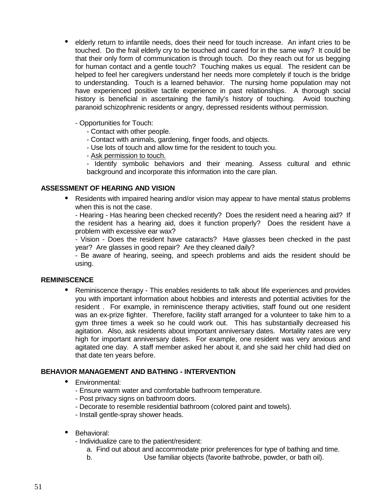- elderly return to infantile needs, does their need for touch increase. An infant cries to be touched. Do the frail elderly cry to be touched and cared for in the same way? It could be that their only form of communication is through touch. Do they reach out for us begging for human contact and a gentle touch? Touching makes us equal. The resident can be helped to feel her caregivers understand her needs more completely if touch is the bridge to understanding. Touch is a learned behavior. The nursing home population may not have experienced positive tactile experience in past relationships. A thorough social history is beneficial in ascertaining the family's history of touching. Avoid touching paranoid schizophrenic residents or angry, depressed residents without permission.
	- Opportunities for Touch:
		- Contact with other people.
		- Contact with animals, gardening, finger foods, and objects.
		- Use lots of touch and allow time for the resident to touch you.
		- Ask permission to touch.

- Identify symbolic behaviors and their meaning. Assess cultural and ethnic background and incorporate this information into the care plan.

#### **ASSESSMENT OF HEARING AND VISION**

• Residents with impaired hearing and/or vision may appear to have mental status problems when this is not the case.

- Hearing - Has hearing been checked recently? Does the resident need a hearing aid? If the resident has a hearing aid, does it function properly? Does the resident have a problem with excessive ear wax?

- Vision - Does the resident have cataracts? Have glasses been checked in the past year? Are glasses in good repair? Are they cleaned daily?

- Be aware of hearing, seeing, and speech problems and aids the resident should be using.

#### **REMINISCENCE**

• Reminiscence therapy - This enables residents to talk about life experiences and provides you with important information about hobbies and interests and potential activities for the resident . For example, in reminiscence therapy activities, staff found out one resident was an ex-prize fighter. Therefore, facility staff arranged for a volunteer to take him to a gym three times a week so he could work out. This has substantially decreased his agitation. Also, ask residents about important anniversary dates. Mortality rates are very high for important anniversary dates. For example, one resident was very anxious and agitated one day. A staff member asked her about it, and she said her child had died on that date ten years before.

#### **BEHAVIOR MANAGEMENT AND BATHING - INTERVENTION**

- Environmental:
	- Ensure warm water and comfortable bathroom temperature.
	- Post privacy signs on bathroom doors.
	- Decorate to resemble residential bathroom (colored paint and towels).
	- Install gentle-spray shower heads.
- Behavioral:

- Individualize care to the patient/resident:

- a. Find out about and accommodate prior preferences for type of bathing and time.
- b. Use familiar objects (favorite bathrobe, powder, or bath oil).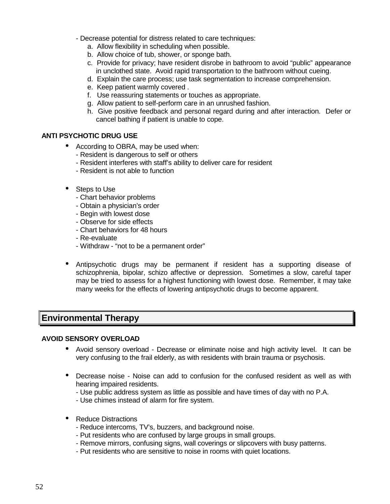- Decrease potential for distress related to care techniques:
	- a. Allow flexibility in scheduling when possible.
	- b. Allow choice of tub, shower, or sponge bath.
	- c. Provide for privacy; have resident disrobe in bathroom to avoid "public" appearance in unclothed state. Avoid rapid transportation to the bathroom without cueing.
	- d. Explain the care process; use task segmentation to increase comprehension.
	- e. Keep patient warmly covered .
	- f. Use reassuring statements or touches as appropriate.
	- g. Allow patient to self-perform care in an unrushed fashion.
	- h. Give positive feedback and personal regard during and after interaction. Defer or cancel bathing if patient is unable to cope.

#### **ANTI PSYCHOTIC DRUG USE**

- According to OBRA, may be used when:
	- Resident is dangerous to self or others
	- Resident interferes with staff's ability to deliver care for resident
	- Resident is not able to function
- Steps to Use
	- Chart behavior problems
	- Obtain a physician's order
	- Begin with lowest dose
	- Observe for side effects
	- Chart behaviors for 48 hours
	- Re-evaluate
	- Withdraw "not to be a permanent order"
- Antipsychotic drugs may be permanent if resident has a supporting disease of schizophrenia, bipolar, schizo affective or depression. Sometimes a slow, careful taper may be tried to assess for a highest functioning with lowest dose. Remember, it may take many weeks for the effects of lowering antipsychotic drugs to become apparent.

## **Environmental Therapy**

#### **AVOID SENSORY OVERLOAD**

- Avoid sensory overload Decrease or eliminate noise and high activity level. It can be very confusing to the frail elderly, as with residents with brain trauma or psychosis.
- Decrease noise Noise can add to confusion for the confused resident as well as with hearing impaired residents.
	- Use public address system as little as possible and have times of day with no P.A.
	- Use chimes instead of alarm for fire system.
- Reduce Distractions
	- Reduce intercoms, TV's, buzzers, and background noise.
	- Put residents who are confused by large groups in small groups.
	- Remove mirrors, confusing signs, wall coverings or slipcovers with busy patterns.
	- Put residents who are sensitive to noise in rooms with quiet locations.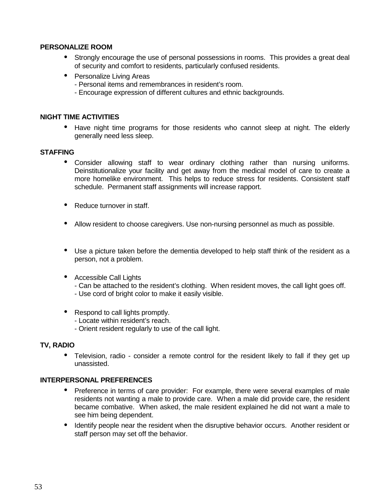#### **PERSONALIZE ROOM**

- Strongly encourage the use of personal possessions in rooms. This provides a great deal of security and comfort to residents, particularly confused residents.
- Personalize Living Areas
	- Personal items and remembrances in resident's room.
	- Encourage expression of different cultures and ethnic backgrounds.

#### **NIGHT TIME ACTIVITIES**

• Have night time programs for those residents who cannot sleep at night. The elderly generally need less sleep.

#### **STAFFING**

- Consider allowing staff to wear ordinary clothing rather than nursing uniforms. Deinstitutionalize your facility and get away from the medical model of care to create a more homelike environment. This helps to reduce stress for residents. Consistent staff schedule. Permanent staff assignments will increase rapport.
- Reduce turnover in staff.
- Allow resident to choose caregivers. Use non-nursing personnel as much as possible.
- Use a picture taken before the dementia developed to help staff think of the resident as a person, not a problem.
- Accessible Call Lights
	- Can be attached to the resident's clothing. When resident moves, the call light goes off. - Use cord of bright color to make it easily visible.
- Respond to call lights promptly.
	- Locate within resident's reach.
	- Orient resident regularly to use of the call light.

#### **TV, RADIO**

• Television, radio - consider a remote control for the resident likely to fall if they get up unassisted.

#### **INTERPERSONAL PREFERENCES**

- Preference in terms of care provider: For example, there were several examples of male residents not wanting a male to provide care. When a male did provide care, the resident became combative. When asked, the male resident explained he did not want a male to see him being dependent.
- Identify people near the resident when the disruptive behavior occurs. Another resident or staff person may set off the behavior.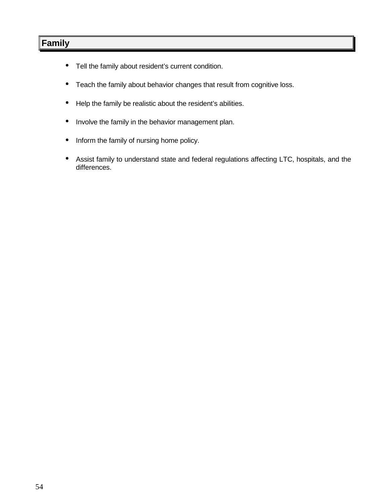## **Family**

- Tell the family about resident's current condition.
- Teach the family about behavior changes that result from cognitive loss.
- Help the family be realistic about the resident's abilities.
- Involve the family in the behavior management plan.
- Inform the family of nursing home policy.
- Assist family to understand state and federal regulations affecting LTC, hospitals, and the differences.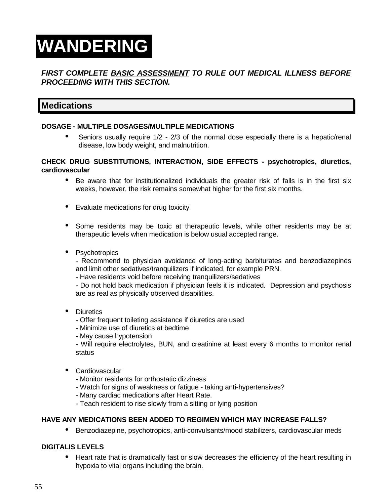# **WANDERING**

#### **FIRST COMPLETE BASIC ASSESSMENT TO RULE OUT MEDICAL ILLNESS BEFORE PROCEEDING WITH THIS SECTION.**

## **Medications**

#### **DOSAGE - MULTIPLE DOSAGES/MULTIPLE MEDICATIONS**

• Seniors usually require 1/2 - 2/3 of the normal dose especially there is a hepatic/renal disease, low body weight, and malnutrition.

#### **CHECK DRUG SUBSTITUTIONS, INTERACTION, SIDE EFFECTS - psychotropics, diuretics, cardiovascular**

- Be aware that for institutionalized individuals the greater risk of falls is in the first six weeks, however, the risk remains somewhat higher for the first six months.
- Evaluate medications for drug toxicity
- Some residents may be toxic at therapeutic levels, while other residents may be at therapeutic levels when medication is below usual accepted range.
- Psychotropics

- Recommend to physician avoidance of long-acting barbiturates and benzodiazepines and limit other sedatives/tranquilizers if indicated, for example PRN.

- Have residents void before receiving tranquilizers/sedatives

- Do not hold back medication if physician feels it is indicated. Depression and psychosis are as real as physically observed disabilities.

- Diuretics
	- Offer frequent toileting assistance if diuretics are used
	- Minimize use of diuretics at bedtime
	- May cause hypotension

- Will require electrolytes, BUN, and creatinine at least every 6 months to monitor renal status

- Cardiovascular
	- Monitor residents for orthostatic dizziness
	- Watch for signs of weakness or fatigue taking anti-hypertensives?
	- Many cardiac medications after Heart Rate.
	- Teach resident to rise slowly from a sitting or lying position

#### **HAVE ANY MEDICATIONS BEEN ADDED TO REGIMEN WHICH MAY INCREASE FALLS?**

• Benzodiazepine, psychotropics, anti-convulsants/mood stabilizers, cardiovascular meds

#### **DIGITALIS LEVELS**

• Heart rate that is dramatically fast or slow decreases the efficiency of the heart resulting in hypoxia to vital organs including the brain.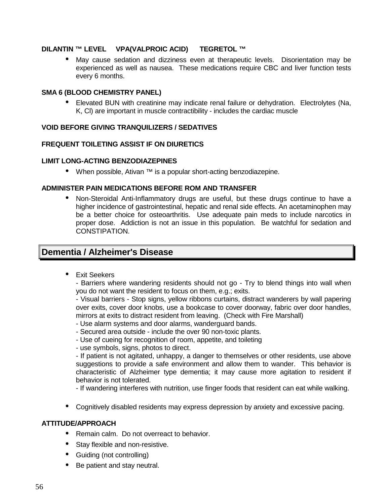#### **DILANTIN ™ LEVEL VPA(VALPROIC ACID) TEGRETOL ™**

• May cause sedation and dizziness even at therapeutic levels. Disorientation may be experienced as well as nausea. These medications require CBC and liver function tests every 6 months.

#### **SMA 6 (BLOOD CHEMISTRY PANEL)**

• Elevated BUN with creatinine may indicate renal failure or dehydration. Electrolytes (Na, K, Cl) are important in muscle contractibility - includes the cardiac muscle

#### **VOID BEFORE GIVING TRANQUILIZERS / SEDATIVES**

#### **FREQUENT TOILETING ASSIST IF ON DIURETICS**

#### **LIMIT LONG-ACTING BENZODIAZEPINES**

• When possible, Ativan ™ is a popular short-acting benzodiazepine.

#### **ADMINISTER PAIN MEDICATIONS BEFORE ROM AND TRANSFER**

• Non-Steroidal Anti-Inflammatory drugs are useful, but these drugs continue to have a higher incidence of gastrointestinal, hepatic and renal side effects. An acetaminophen may be a better choice for osteoarthritis. Use adequate pain meds to include narcotics in proper dose. Addiction is not an issue in this population. Be watchful for sedation and CONSTIPATION.

### **Dementia / Alzheimer's Disease**

• Exit Seekers

- Barriers where wandering residents should not go - Try to blend things into wall when you do not want the resident to focus on them, e.g.; exits.

- Visual barriers - Stop signs, yellow ribbons curtains, distract wanderers by wall papering over exits, cover door knobs, use a bookcase to cover doorway, fabric over door handles, mirrors at exits to distract resident from leaving. (Check with Fire Marshall)

- Use alarm systems and door alarms, wanderguard bands.
- Secured area outside include the over 90 non-toxic plants.
- Use of cueing for recognition of room, appetite, and toileting
- use symbols, signs, photos to direct.

- If patient is not agitated, unhappy, a danger to themselves or other residents, use above suggestions to provide a safe environment and allow them to wander. This behavior is characteristic of Alzheimer type dementia; it may cause more agitation to resident if behavior is not tolerated.

- If wandering interferes with nutrition, use finger foods that resident can eat while walking.

• Cognitively disabled residents may express depression by anxiety and excessive pacing.

#### **ATTITUDE/APPROACH**

- Remain calm. Do not overreact to behavior.
- Stay flexible and non-resistive.
- Guiding (not controlling)
- Be patient and stay neutral.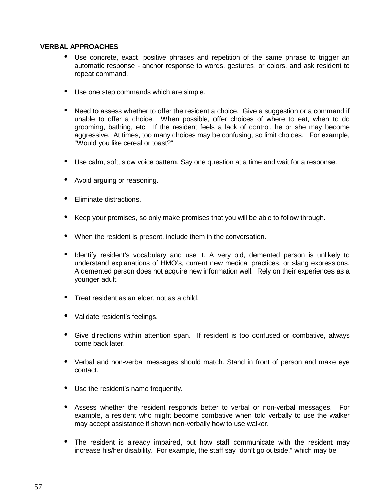#### **VERBAL APPROACHES**

- Use concrete, exact, positive phrases and repetition of the same phrase to trigger an automatic response - anchor response to words, gestures, or colors, and ask resident to repeat command.
- Use one step commands which are simple.
- Need to assess whether to offer the resident a choice. Give a suggestion or a command if unable to offer a choice. When possible, offer choices of where to eat, when to do grooming, bathing, etc. If the resident feels a lack of control, he or she may become aggressive. At times, too many choices may be confusing, so limit choices. For example, "Would you like cereal or toast?"
- Use calm, soft, slow voice pattern. Say one question at a time and wait for a response.
- Avoid arguing or reasoning.
- Eliminate distractions.
- Keep your promises, so only make promises that you will be able to follow through.
- When the resident is present, include them in the conversation.
- Identify resident's vocabulary and use it. A very old, demented person is unlikely to understand explanations of HMO's, current new medical practices, or slang expressions. A demented person does not acquire new information well. Rely on their experiences as a younger adult.
- Treat resident as an elder, not as a child.
- Validate resident's feelings.
- Give directions within attention span. If resident is too confused or combative, always come back later.
- Verbal and non-verbal messages should match. Stand in front of person and make eye contact.
- Use the resident's name frequently.
- Assess whether the resident responds better to verbal or non-verbal messages. For example, a resident who might become combative when told verbally to use the walker may accept assistance if shown non-verbally how to use walker.
- The resident is already impaired, but how staff communicate with the resident may increase his/her disability. For example, the staff say "don't go outside," which may be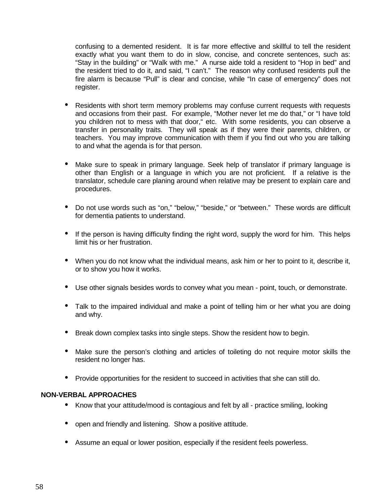confusing to a demented resident. It is far more effective and skillful to tell the resident exactly what you want them to do in slow, concise, and concrete sentences, such as: "Stay in the building" or "Walk with me." A nurse aide told a resident to "Hop in bed" and the resident tried to do it, and said, "I can't." The reason why confused residents pull the fire alarm is because "Pull" is clear and concise, while "In case of emergency" does not register.

- Residents with short term memory problems may confuse current requests with requests and occasions from their past. For example, "Mother never let me do that," or "I have told you children not to mess with that door," etc. With some residents, you can observe a transfer in personality traits. They will speak as if they were their parents, children, or teachers. You may improve communication with them if you find out who you are talking to and what the agenda is for that person.
- Make sure to speak in primary language. Seek help of translator if primary language is other than English or a language in which you are not proficient. If a relative is the translator, schedule care planing around when relative may be present to explain care and procedures.
- Do not use words such as "on," "below," "beside," or "between." These words are difficult for dementia patients to understand.
- If the person is having difficulty finding the right word, supply the word for him. This helps limit his or her frustration.
- When you do not know what the individual means, ask him or her to point to it, describe it, or to show you how it works.
- Use other signals besides words to convey what you mean point, touch, or demonstrate.
- Talk to the impaired individual and make a point of telling him or her what you are doing and why.
- Break down complex tasks into single steps. Show the resident how to begin.
- Make sure the person's clothing and articles of toileting do not require motor skills the resident no longer has.
- Provide opportunities for the resident to succeed in activities that she can still do.

#### **NON-VERBAL APPROACHES**

- Know that your attitude/mood is contagious and felt by all practice smiling, looking
- open and friendly and listening. Show a positive attitude.
- Assume an equal or lower position, especially if the resident feels powerless.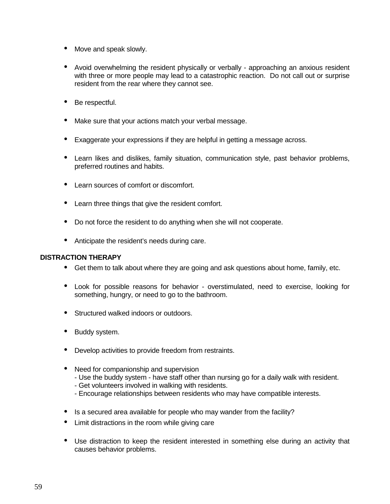- Move and speak slowly.
- Avoid overwhelming the resident physically or verbally approaching an anxious resident with three or more people may lead to a catastrophic reaction. Do not call out or surprise resident from the rear where they cannot see.
- Be respectful.
- Make sure that your actions match your verbal message.
- Exaggerate your expressions if they are helpful in getting a message across.
- Learn likes and dislikes, family situation, communication style, past behavior problems, preferred routines and habits.
- Learn sources of comfort or discomfort.
- Learn three things that give the resident comfort.
- Do not force the resident to do anything when she will not cooperate.
- Anticipate the resident's needs during care.

#### **DISTRACTION THERAPY**

- Get them to talk about where they are going and ask questions about home, family, etc.
- Look for possible reasons for behavior overstimulated, need to exercise, looking for something, hungry, or need to go to the bathroom.
- Structured walked indoors or outdoors.
- Buddy system.
- Develop activities to provide freedom from restraints.
- Need for companionship and supervision
	- Use the buddy system have staff other than nursing go for a daily walk with resident.
	- Get volunteers involved in walking with residents.
	- Encourage relationships between residents who may have compatible interests.
- Is a secured area available for people who may wander from the facility?
- Limit distractions in the room while giving care
- Use distraction to keep the resident interested in something else during an activity that causes behavior problems.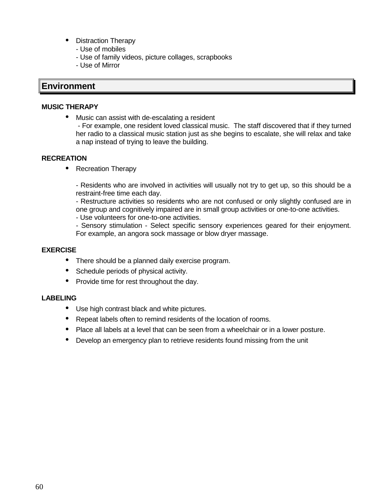- Distraction Therapy
	- Use of mobiles
	- Use of family videos, picture collages, scrapbooks
	- Use of Mirror

### **Environment**

#### **MUSIC THERAPY**

• Music can assist with de-escalating a resident

 - For example, one resident loved classical music. The staff discovered that if they turned her radio to a classical music station just as she begins to escalate, she will relax and take a nap instead of trying to leave the building.

#### **RECREATION**

• Recreation Therapy

- Residents who are involved in activities will usually not try to get up, so this should be a restraint-free time each day.

- Restructure activities so residents who are not confused or only slightly confused are in one group and cognitively impaired are in small group activities or one-to-one activities.

- Use volunteers for one-to-one activities.

- Sensory stimulation - Select specific sensory experiences geared for their enjoyment. For example, an angora sock massage or blow dryer massage.

#### **EXERCISE**

- There should be a planned daily exercise program.
- Schedule periods of physical activity.
- Provide time for rest throughout the day.

#### **LABELING**

- Use high contrast black and white pictures.
- Repeat labels often to remind residents of the location of rooms.
- Place all labels at a level that can be seen from a wheelchair or in a lower posture.
- Develop an emergency plan to retrieve residents found missing from the unit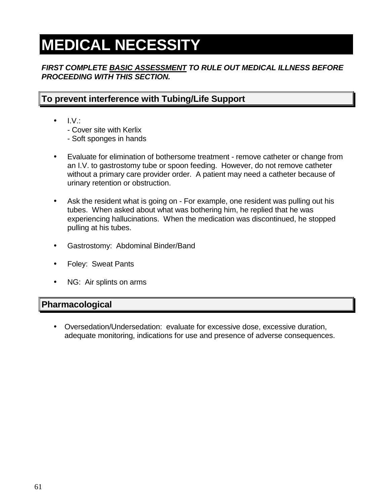## **MEDICAL NECESSITY**

#### **FIRST COMPLETE BASIC ASSESSMENT TO RULE OUT MEDICAL ILLNESS BEFORE PROCEEDING WITH THIS SECTION.**

## **To prevent interference with Tubing/Life Support**

- $\bullet$  I.V.:
	- Cover site with Kerlix
	- Soft sponges in hands
- Evaluate for elimination of bothersome treatment remove catheter or change from an I.V. to gastrostomy tube or spoon feeding. However, do not remove catheter without a primary care provider order. A patient may need a catheter because of urinary retention or obstruction.
- Ask the resident what is going on For example, one resident was pulling out his tubes. When asked about what was bothering him, he replied that he was experiencing hallucinations. When the medication was discontinued, he stopped pulling at his tubes.
- Gastrostomy: Abdominal Binder/Band
- Foley: Sweat Pants
- NG: Air splints on arms

## **Pharmacological**

• Oversedation/Undersedation: evaluate for excessive dose, excessive duration, adequate monitoring, indications for use and presence of adverse consequences.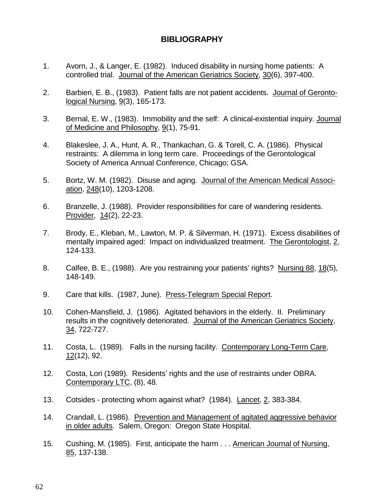## **BIBLIOGRAPHY**

- 1. Avorn, J., & Langer, E. (1982). Induced disability in nursing home patients: A controlled trial. Journal of the American Geriatrics Society, 30(6), 397-400.
- 2. Barbieri, E. B., (1983). Patient falls are not patient accidents. Journal of Gerontological Nursing,  $9(3)$ , 165-173.
- 3. Bernal, E. W., (1983). Immobility and the self: A clinical-existential inquiry. Journal of Medicine and Philosophy, 9(1), 75-91.
- 4. Blakeslee, J. A., Hunt, A. R., Thankachan, G. & Torell, C. A. (1986). Physical restraints: A dilemma in long term care. Proceedings of the Gerontological Society of America Annual Conference, Chicago; GSA.
- 5. Bortz, W. M. (1982). Disuse and aging. Journal of the American Medical Association, 248(10), 1203-1208.
- 6. Branzelle, J. (1988). Provider responsibilities for care of wandering residents. Provider, 14(2), 22-23.
- 7. Brody, E., Kleban, M., Lawton, M. P. & Silverman, H. (1971). Excess disabilities of mentally impaired aged: Impact on individualized treatment. The Gerontologist, 2, 124-133.
- 8. Calfee, B. E., (1988). Are you restraining your patients' rights? Nursing 88, 18(5), 148-149.
- 9. Care that kills. (1987, June). Press-Telegram Special Report.
- 10. Cohen-Mansfield, J. (1986). Agitated behaviors in the elderly. II. Preliminary results in the cognitively deteriorated. Journal of the American Geriatrics Society, 34, 722-727.
- 11. Costa, L. (1989). Falls in the nursing facility. Contemporary Long-Term Care, 12(12), 92.
- 12. Costa, Lori (1989). Residents' rights and the use of restraints under OBRA. Contemporary LTC, (8), 48.
- 13. Cotsides protecting whom against what? (1984). Lancet, 2, 383-384.
- 14. Crandall, L. (1986). Prevention and Management of agitated aggressive behavior in older adults. Salem, Oregon: Oregon State Hospital.
- 15. Cushing, M. (1985). First, anticipate the harm . . . American Journal of Nursing, 85, 137-138.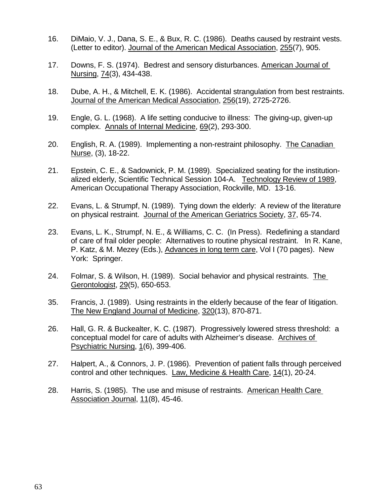- 16. DiMaio, V. J., Dana, S. E., & Bux, R. C. (1986). Deaths caused by restraint vests. (Letter to editor). Journal of the American Medical Association, 255(7), 905.
- 17. Downs, F. S. (1974). Bedrest and sensory disturbances. American Journal of Nursing, 74(3), 434-438.
- 18. Dube, A. H., & Mitchell, E. K. (1986). Accidental strangulation from best restraints. Journal of the American Medical Association, 256(19), 2725-2726.
- 19. Engle, G. L. (1968). A life setting conducive to illness: The giving-up, given-up complex. Annals of Internal Medicine, 69(2), 293-300.
- 20. English, R. A. (1989). Implementing a non-restraint philosophy. The Canadian Nurse, (3), 18-22.
- 21. Epstein, C. E., & Sadownick, P. M. (1989). Specialized seating for the institutionalized elderly, Scientific Technical Session 104-A. Technology Review of 1989, American Occupational Therapy Association, Rockville, MD. 13-16.
- 22. Evans, L. & Strumpf, N. (1989). Tying down the elderly: A review of the literature on physical restraint. Journal of the American Geriatrics Society, 37, 65-74.
- 23. Evans, L. K., Strumpf, N. E., & Williams, C. C. (In Press). Redefining a standard of care of frail older people: Alternatives to routine physical restraint. In R. Kane, P. Katz, & M. Mezey (Eds.), Advances in long term care, Vol I (70 pages). New York: Springer.
- 24. Folmar, S. & Wilson, H. (1989). Social behavior and physical restraints. The Gerontologist, 29(5), 650-653.
- 35. Francis, J. (1989). Using restraints in the elderly because of the fear of litigation. The New England Journal of Medicine, 320(13), 870-871.
- 26. Hall, G. R. & Buckealter, K. C. (1987). Progressively lowered stress threshold: a conceptual model for care of adults with Alzheimer's disease. Archives of Psychiatric Nursing, 1(6), 399-406.
- 27. Halpert, A., & Connors, J. P. (1986). Prevention of patient falls through perceived control and other techniques. Law, Medicine & Health Care, 14(1), 20-24.
- 28. Harris, S. (1985). The use and misuse of restraints. American Health Care Association Journal, 11(8), 45-46.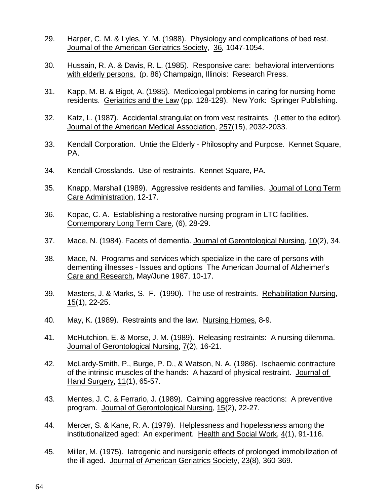- 29. Harper, C. M. & Lyles, Y. M. (1988). Physiology and complications of bed rest. Journal of the American Geriatrics Society, 36, 1047-1054.
- 30. Hussain, R. A. & Davis, R. L. (1985). Responsive care: behavioral interventions with elderly persons. (p. 86) Champaign, Illinois: Research Press.
- 31. Kapp, M. B. & Bigot, A. (1985). Medicolegal problems in caring for nursing home residents. Geriatrics and the Law (pp. 128-129). New York: Springer Publishing.
- 32. Katz, L. (1987). Accidental strangulation from vest restraints. (Letter to the editor). Journal of the American Medical Association, 257(15), 2032-2033.
- 33. Kendall Corporation. Untie the Elderly Philosophy and Purpose. Kennet Square, PA.
- 34. Kendall-Crosslands. Use of restraints. Kennet Square, PA.
- 35. Knapp, Marshall (1989). Aggressive residents and families. Journal of Long Term Care Administration, 12-17.
- 36. Kopac, C. A. Establishing a restorative nursing program in LTC facilities. Contemporary Long Term Care, (6), 28-29.
- 37. Mace, N. (1984). Facets of dementia. Journal of Gerontological Nursing, 10(2), 34.
- 38. Mace, N. Programs and services which specialize in the care of persons with dementing illnesses - Issues and options The American Journal of Alzheimer's Care and Research, May/June 1987, 10-17.
- 39. Masters, J. & Marks, S. F. (1990). The use of restraints. Rehabilitation Nursing, 15(1), 22-25.
- 40. May, K. (1989). Restraints and the law. Nursing Homes, 8-9.
- 41. McHutchion, E. & Morse, J. M. (1989). Releasing restraints: A nursing dilemma. Journal of Gerontological Nursing,  $7(2)$ , 16-21.
- 42. McLardy-Smith, P., Burge, P. D., & Watson, N. A. (1986). Ischaemic contracture of the intrinsic muscles of the hands: A hazard of physical restraint. Journal of Hand Surgery, 11(1), 65-57.
- 43. Mentes, J. C. & Ferrario, J. (1989). Calming aggressive reactions: A preventive program. Journal of Gerontological Nursing, 15(2), 22-27.
- 44. Mercer, S. & Kane, R. A. (1979). Helplessness and hopelessness among the institutionalized aged: An experiment. Health and Social Work, 4(1), 91-116.
- 45. Miller, M. (1975). Iatrogenic and nursigenic effects of prolonged immobilization of the ill aged. Journal of American Geriatrics Society, 23(8), 360-369.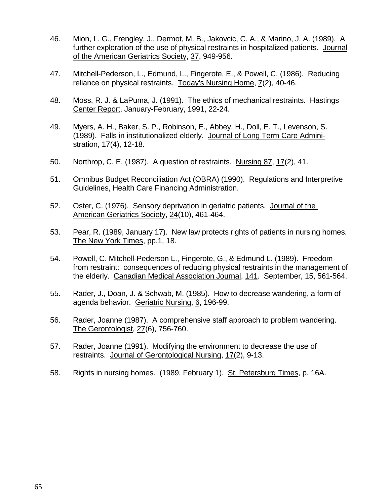- 46. Mion, L. G., Frengley, J., Dermot, M. B., Jakovcic, C. A., & Marino, J. A. (1989). A further exploration of the use of physical restraints in hospitalized patients. Journal of the American Geriatrics Society, 37, 949-956.
- 47. Mitchell-Pederson, L., Edmund, L., Fingerote, E., & Powell, C. (1986). Reducing reliance on physical restraints. Today's Nursing Home, 7(2), 40-46.
- 48. Moss, R. J. & LaPuma, J. (1991). The ethics of mechanical restraints. Hastings Center Report, January-February, 1991, 22-24.
- 49. Myers, A. H., Baker, S. P., Robinson, E., Abbey, H., Doll, E. T., Levenson, S. (1989). Falls in institutionalized elderly. Journal of Long Term Care Administration, 17(4), 12-18.
- 50. Northrop, C. E. (1987). A question of restraints. Nursing 87, 17(2), 41.
- 51. Omnibus Budget Reconciliation Act (OBRA) (1990). Regulations and Interpretive Guidelines, Health Care Financing Administration.
- 52. Oster, C. (1976). Sensory deprivation in geriatric patients. Journal of the American Geriatrics Society, 24(10), 461-464.
- 53. Pear, R. (1989, January 17). New law protects rights of patients in nursing homes. The New York Times, pp.1, 18.
- 54. Powell, C. Mitchell-Pederson L., Fingerote, G., & Edmund L. (1989). Freedom from restraint: consequences of reducing physical restraints in the management of the elderly. Canadian Medical Association Journal, 141. September, 15, 561-564.
- 55. Rader, J., Doan, J. & Schwab, M. (1985). How to decrease wandering, a form of agenda behavior. Geriatric Nursing, 6, 196-99.
- 56. Rader, Joanne (1987). A comprehensive staff approach to problem wandering. The Gerontologist, 27(6), 756-760.
- 57. Rader, Joanne (1991). Modifying the environment to decrease the use of restraints. Journal of Gerontological Nursing, 17(2), 9-13.
- 58. Rights in nursing homes. (1989, February 1). St. Petersburg Times, p. 16A.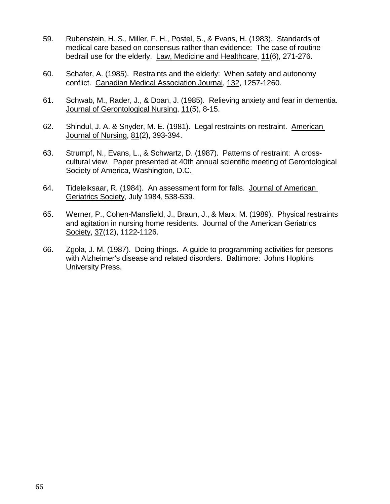- 59. Rubenstein, H. S., Miller, F. H., Postel, S., & Evans, H. (1983). Standards of medical care based on consensus rather than evidence: The case of routine bedrail use for the elderly. Law, Medicine and Healthcare, 11(6), 271-276.
- 60. Schafer, A. (1985). Restraints and the elderly: When safety and autonomy conflict. Canadian Medical Association Journal, 132, 1257-1260.
- 61. Schwab, M., Rader, J., & Doan, J. (1985). Relieving anxiety and fear in dementia. Journal of Gerontological Nursing, 11(5), 8-15.
- 62. Shindul, J. A. & Snyder, M. E. (1981). Legal restraints on restraint. American Journal of Nursing, 81(2), 393-394.
- 63. Strumpf, N., Evans, L., & Schwartz, D. (1987). Patterns of restraint: A crosscultural view. Paper presented at 40th annual scientific meeting of Gerontological Society of America, Washington, D.C.
- 64. Tideleiksaar, R. (1984). An assessment form for falls. Journal of American Geriatrics Society, July 1984, 538-539.
- 65. Werner, P., Cohen-Mansfield, J., Braun, J., & Marx, M. (1989). Physical restraints and agitation in nursing home residents. Journal of the American Geriatrics Society, 37(12), 1122-1126.
- 66. Zgola, J. M. (1987). Doing things. A guide to programming activities for persons with Alzheimer's disease and related disorders. Baltimore: Johns Hopkins University Press.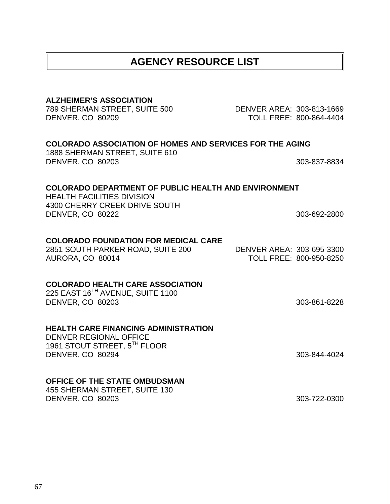| <b>ALZHEIMER'S ASSOCIATION</b><br>789 SHERMAN STREET, SUITE 500<br>DENVER, CO 80209                                                                   | DENVER AREA: 303-813-1669 | TOLL FREE: 800-864-4404 |
|-------------------------------------------------------------------------------------------------------------------------------------------------------|---------------------------|-------------------------|
| <b>COLORADO ASSOCIATION OF HOMES AND SERVICES FOR THE AGING</b><br>1888 SHERMAN STREET, SUITE 610<br><b>DENVER, CO 80203</b>                          |                           | 303-837-8834            |
| <b>COLORADO DEPARTMENT OF PUBLIC HEALTH AND ENVIRONMENT</b><br><b>HEALTH FACILITIES DIVISION</b><br>4300 CHERRY CREEK DRIVE SOUTH<br>DENVER, CO 80222 |                           | 303-692-2800            |
| <b>COLORADO FOUNDATION FOR MEDICAL CARE</b><br>2851 SOUTH PARKER ROAD, SUITE 200<br>AURORA, CO 80014                                                  | DENVER AREA: 303-695-3300 | TOLL FREE: 800-950-8250 |
| <b>COLORADO HEALTH CARE ASSOCIATION</b><br>225 EAST 16TH AVENUE, SUITE 1100<br>DENVER, CO 80203                                                       |                           | 303-861-8228            |
| <b>HEALTH CARE FINANCING ADMINISTRATION</b><br><b>DENVER REGIONAL OFFICE</b><br>1961 STOUT STREET, 5TH FLOOR<br>DENVER, CO 80294                      |                           | 303-844-4024            |
| OFFICE OF THE STATE OMBUDSMAN<br>455 SHERMAN STREET, SUITE 130<br>DENVER, CO 80203                                                                    |                           | 303-722-0300            |

## **AGENCY RESOURCE LIST**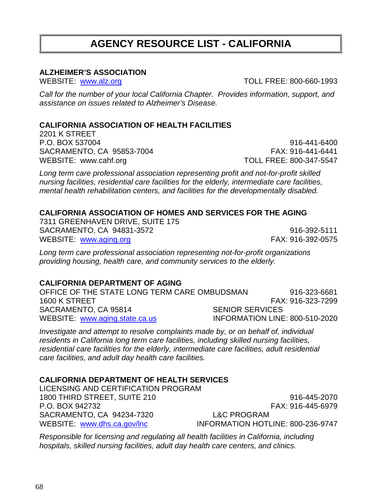Call for the number of your local California Chapter. Provides information, support, and assistance on issues related to Alzheimer's Disease.

#### **CALIFORNIA ASSOCIATION OF HEALTH FACILITIES**

2201 K STREET P.O. BOX 537004 916-441-6400 SACRAMENTO, CA 95853-7004 FAX: 916-441-6441 WEBSITE: www.cahf.org TOLL FREE: 800-347-5547

**ALZHEIMER'S ASSOCIATION**

Long term care professional association representing profit and not-for-profit skilled nursing facilities, residential care facilities for the elderly, intermediate care facilities, mental health rehabilitation centers, and facilities for the developmentally disabled.

#### **CALIFORNIA ASSOCIATION OF HOMES AND SERVICES FOR THE AGING**

7311 GREENHAVEN DRIVE, SUITE 175 SACRAMENTO, CA 94831-3572 916-392-5111 WEBSITE: www.aging.org FAX: 916-392-0575

Long term care professional association representing not-for-profit organizations providing housing, health care, and community services to the elderly.

#### **CALIFORNIA DEPARTMENT OF AGING**

OFFICE OF THE STATE LONG TERM CARE OMBUDSMAN 916-323-6681 1600 K STREET FAX: 916-323-7299 SACRAMENTO, CA 95814 SENIOR SERVICES WEBSITE: www.aging.state.ca.us INFORMATION LINE: 800-510-2020

Investigate and attempt to resolve complaints made by, or on behalf of, individual residents in California long term care facilities, including skilled nursing facilities, residential care facilities for the elderly, intermediate care facilities, adult residential care facilities, and adult day health care facilities.

### **CALIFORNIA DEPARTMENT OF HEALTH SERVICES**

LICENSING AND CERTIFICATION PROGRAM 1800 THIRD STREET, SUITE 210 916-445-2070 P.O. BOX 942732 FAX: 916-445-6979 SACRAMENTO, CA 94234-7320 L&C PROGRAM

WEBSITE: www.dhs.ca.gov/lnc INFORMATION HOTLINE: 800-236-9747

Responsible for licensing and regulating all health facilities in California, including hospitals, skilled nursing facilities, adult day health care centers, and clinics.

## **AGENCY RESOURCE LIST - CALIFORNIA**

WEBSITE: www.alz.org TOLL FREE: 800-660-1993